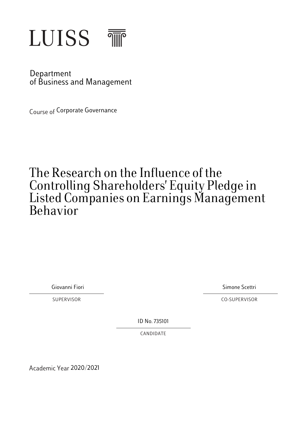

Department of Business and Management

**Course of Corporate Governance** 

# The Research on the Influence of the Controlling Shareholders' Equity Pledge in Listed Companies on Earnings Management Behavior Research on the Influence of the<br>trolling Shareholders' Equity Pledge in<br>ed Companies on Earnings Manageme!<br>avior<br>avior<br>Giovanni Fiori Simone Scettri<br>Giovanni Fiori Simone Scettri<br>Co-SUPERVISOR<br>ID No.735101<br>CANDIDATE

SUPERVISOR CO-SUPERVISOR

ID No. 735101

CANDIDATE

Academic Year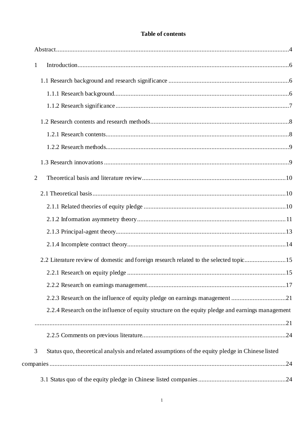# Table of contents

| $\mathbf{1}$<br>2.2 Literature review of domestic and foreign research related to the selected topic15<br>2.2.3 Research on the influence of equity pledge on earnings management 21<br>2.2.4 Research on the influence of equity structure on the equity pledge and earnings management<br>3<br>Status quo, theoretical analysis and related assumptions of the equity pledge in Chinese listed |                |  |
|--------------------------------------------------------------------------------------------------------------------------------------------------------------------------------------------------------------------------------------------------------------------------------------------------------------------------------------------------------------------------------------------------|----------------|--|
|                                                                                                                                                                                                                                                                                                                                                                                                  |                |  |
|                                                                                                                                                                                                                                                                                                                                                                                                  |                |  |
|                                                                                                                                                                                                                                                                                                                                                                                                  |                |  |
|                                                                                                                                                                                                                                                                                                                                                                                                  |                |  |
|                                                                                                                                                                                                                                                                                                                                                                                                  |                |  |
|                                                                                                                                                                                                                                                                                                                                                                                                  |                |  |
|                                                                                                                                                                                                                                                                                                                                                                                                  |                |  |
|                                                                                                                                                                                                                                                                                                                                                                                                  |                |  |
|                                                                                                                                                                                                                                                                                                                                                                                                  | $\overline{2}$ |  |
|                                                                                                                                                                                                                                                                                                                                                                                                  |                |  |
|                                                                                                                                                                                                                                                                                                                                                                                                  |                |  |
|                                                                                                                                                                                                                                                                                                                                                                                                  |                |  |
|                                                                                                                                                                                                                                                                                                                                                                                                  |                |  |
|                                                                                                                                                                                                                                                                                                                                                                                                  |                |  |
|                                                                                                                                                                                                                                                                                                                                                                                                  |                |  |
|                                                                                                                                                                                                                                                                                                                                                                                                  |                |  |
|                                                                                                                                                                                                                                                                                                                                                                                                  |                |  |
|                                                                                                                                                                                                                                                                                                                                                                                                  |                |  |
|                                                                                                                                                                                                                                                                                                                                                                                                  |                |  |
|                                                                                                                                                                                                                                                                                                                                                                                                  |                |  |
|                                                                                                                                                                                                                                                                                                                                                                                                  |                |  |
|                                                                                                                                                                                                                                                                                                                                                                                                  |                |  |
|                                                                                                                                                                                                                                                                                                                                                                                                  |                |  |
|                                                                                                                                                                                                                                                                                                                                                                                                  |                |  |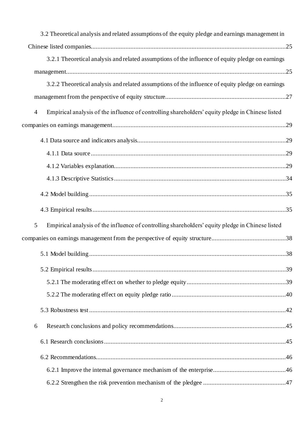| 3.2 Theoretical analysis and related assumptions of the equity pledge and earnings management in                   |
|--------------------------------------------------------------------------------------------------------------------|
|                                                                                                                    |
| 3.2.1 Theoretical analysis and related assumptions of the influence of equity pledge on earnings                   |
|                                                                                                                    |
| 3.2.2 Theoretical analysis and related assumptions of the influence of equity pledge on earnings                   |
|                                                                                                                    |
| Empirical analysis of the influence of controlling shareholders' equity pledge in Chinese listed<br>$\overline{4}$ |
|                                                                                                                    |
|                                                                                                                    |
|                                                                                                                    |
|                                                                                                                    |
|                                                                                                                    |
|                                                                                                                    |
|                                                                                                                    |
| Empirical analysis of the influence of controlling shareholders' equity pledge in Chinese listed<br>5              |
|                                                                                                                    |
|                                                                                                                    |
|                                                                                                                    |
|                                                                                                                    |
|                                                                                                                    |
|                                                                                                                    |
| 6                                                                                                                  |
|                                                                                                                    |
|                                                                                                                    |
|                                                                                                                    |
|                                                                                                                    |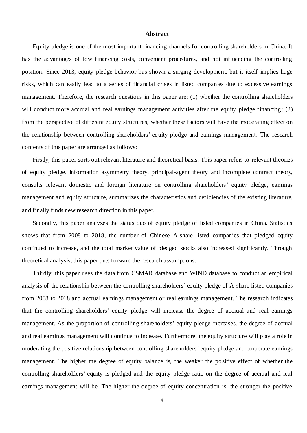## **Abstract**

<span id="page-4-0"></span>Equity pledge is one of the most important financing channels for controlling shareholders in China. It has the advantages of low financing costs, convenient procedures, and not influencing the controlling position. Since 2013, equity pledge behavior has shown a surging development, but it itself implies huge risks, which can easily lead to a series of financial crises in listed companies due to excessive earnings management. Therefore, the research questions in this paper are: (1) whether the controlling shareholders will conduct more accrual and real earnings management activities after the equity pledge financing; (2) from the perspective of different equity structures, whether these factors will have the moderating effect on the relationship between controlling shareholders' equity pledge and earnings management. The research contents of this paper are arranged as follows:

Firstly, this paper sorts out relevant literature and theoretical basis. This paper refers to relevant theories of equity pledge, information asymmetry theory, principal-agent theory and incomplete contract theory, consults relevant domestic and foreign literature on controlling shareholders' equity pledge, earnings management and equity structure, summarizes the characteristics and deficiencies of the existing literature, and finally finds new research direction in this paper.

Secondly, this paper analyzes the status quo of equity pledge of listed companies in China. Statistics shows that from 2008 to 2018, the number of Chinese A-share listed companies that pledged equity continued to increase, and the total market value of pledged stocks also increased significantly. Through theoretical analysis, this paper puts forward the research assumptions.

Thirdly, this paper uses the data from CSMAR database and WIND database to conduct an empirical analysis of the relationship between the controlling shareholders' equity pledge of A-share listed companies from 2008 to 2018 and accrual earnings management or real earnings management. The research indicates that the controlling shareholders' equity pledge will increase the degree of accrual and real earnings management. As the proportion of controlling shareholders' equity pledge increases, the degree of accrual and real earnings management will continue to increase. Furthermore, the equity structure will play a role in moderating the positive relationship between controlling shareholders' equity pledge and corporate earnings management. The higher the degree of equity balance is, the weaker the positive effect of whether the controlling shareholders' equity is pledged and the equity pledge ratio on the degree of accrual and real earnings management will be. The higher the degree of equity concentration is, the stronger the positive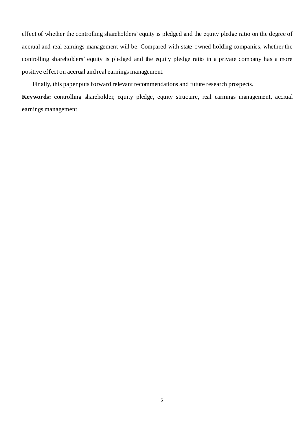effect of whether the controlling shareholders' equity is pledged and the equity pledge ratio on the degree of accrual and real earnings management will be. Compared with state-owned holding companies, whether the controlling shareholders' equity is pledged and the equity pledge ratio in a private company has a more positive effect on accrual and real earnings management.

Finally, this paper puts forward relevant recommendations and future research prospects.

**Keywords:** controlling shareholder, equity pledge, equity structure, real earnings management, accrual earnings management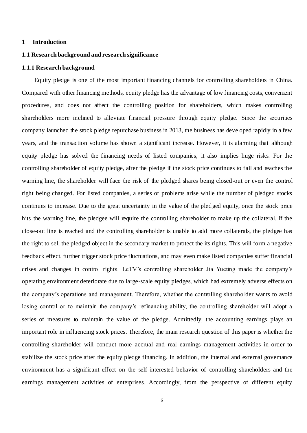#### <span id="page-6-0"></span>**1 Introduction**

#### <span id="page-6-1"></span>**1.1 Research background and research significance**

#### <span id="page-6-2"></span>**1.1.1 Research background**

Equity pledge is one of the most important financing channels for controlling shareholders in China. Compared with other financing methods, equity pledge has the advantage of low financing costs, convenient procedures, and does not affect the controlling position for shareholders, which makes controlling shareholders more inclined to alleviate financial pressure through equity pledge. Since the securities company launched the stock pledge repurchase business in 2013, the business has developed rapidly in a few years, and the transaction volume has shown a significant increase. However, it is alarming that although equity pledge has solved the financing needs of listed companies, it also implies huge risks. For the controlling shareholder of equity pledge, after the pledge if the stock price continues to fall and reaches the warning line, the shareholder will face the risk of the pledged shares being closed-out or even the control right being changed. For listed companies, a series of problems arise while the number of pledged stocks continues to increase. Due to the great uncertainty in the value of the pledged equity, once the stock price hits the warning line, the pledgee will require the controlling shareholder to make up the collateral. If the close-out line is reached and the controlling shareholder is unable to add more collaterals, the pledgee has the right to sell the pledged object in the secondary market to protect the its rights. This will form a negative feedback effect, further trigger stock price fluctuations, and may even make listed companies suffer financial crises and changes in control rights. LeTV's controlling shareholder Jia Yueting made the company's operating environment deteriorate due to large-scale equity pledges, which had extremely adverse effects on the company's operations and management. Therefore, whether the controlling shareholder wants to avoid losing control or to maintain the company's refinancing ability, the controlling shareholder will adopt a series of measures to maintain the value of the pledge. Admittedly, the accounting earnings plays an important role in influencing stock prices. Therefore, the main research question of this paper is whether the controlling shareholder will conduct more accrual and real earnings management activities in order to stabilize the stock price after the equity pledge financing. In addition, the internal and external governance environment has a significant effect on the self-interested behavior of controlling shareholders and the earnings management activities of enterprises. Accordingly, from the perspective of different equity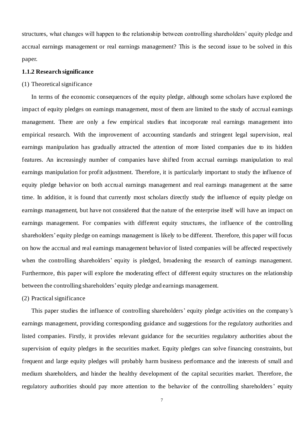structures, what changes will happen to the relationship between controlling shareholders' equity pledge and accrual earnings management or real earnings management? This is the second issue to be solved in this paper.

# <span id="page-7-0"></span>**1.1.2 Research significance**

# (1) Theoretical significance

In terms of the economic consequences of the equity pledge, although some scholars have explored the impact of equity pledges on earnings management, most of them are limited to the study of accrual earnings management. There are only a few empirical studies that incorporate real earnings management into empirical research. With the improvement of accounting standards and stringent legal supervision, real earnings manipulation has gradually attracted the attention of more listed companies due to its hidden features. An increasingly number of companies have shifted from accrual earnings manipulation to real earnings manipulation for profit adjustment. Therefore, it is particularly important to study the influence of equity pledge behavior on both accrual earnings management and real earnings management at the same time. In addition, it is found that currently most scholars directly study the influence of equity pledge on earnings management, but have not considered that the nature of the enterprise itself will have an impact on earnings management. For companies with different equity structures, the influence of the controlling shareholders' equity pledge on earnings management is likely to be different. Therefore, this paper will focus on how the accrual and real earnings management behavior of listed companies will be affected respectively when the controlling shareholders' equity is pledged, broadening the research of earnings management. Furthermore, this paper will explore the moderating effect of different equity structures on the relationship between the controlling shareholders' equity pledge and earnings management.

#### (2) Practical significance

This paper studies the influence of controlling shareholders' equity pledge activities on the company's earnings management, providing corresponding guidance and suggestions for the regulatory authorities and listed companies. Firstly, it provides relevant guidance for the securities regulatory authorities about the supervision of equity pledges in the securities market. Equity pledges can solve financing constraints, but frequent and large equity pledges will probably harm business performance and the interests of small and medium shareholders, and hinder the healthy development of the capital securities market. Therefore, the regulatory authorities should pay more attention to the behavior of the controlling shareholders' equity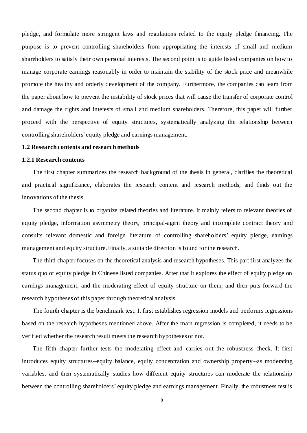pledge, and formulate more stringent laws and regulations related to the equity pledge financing. The purpose is to prevent controlling shareholders from appropriating the interests of small and medium shareholders to satisfy their own personal interests. The second point is to guide listed companies on how to manage corporate earnings reasonably in order to maintain the stability of the stock price and meanwhile promote the healthy and orderly development of the company. Furthermore, the companies can learn from the paper about how to prevent the instability of stock prices that will cause the transfer of corporate control and damage the rights and interests of small and medium shareholders. Therefore, this paper will further proceed with the perspective of equity structures, systematically analyzing the relationship between controlling shareholders' equity pledge and earnings management.

#### <span id="page-8-0"></span>**1.2 Research contents and research methods**

#### <span id="page-8-1"></span>**1.2.1 Research contents**

The first chapter summarizes the research background of the thesis in general, clarifies the theoretical and practical significance, elaborates the research content and research methods, and finds out the innovations of the thesis.

The second chapter is to organize related theories and literature. It mainly refers to relevant theories of equity pledge, information asymmetry theory, principal-agent theory and incomplete contract theory and consults relevant domestic and foreign literature of controlling shareholders' equity pledge, earnings management and equity structure. Finally, a suitable direction is found for the research.

The third chapter focuses on the theoretical analysis and research hypotheses. This part first analyzes the status quo of equity pledge in Chinese listed companies. After that it explores the effect of equity pledge on earnings management, and the moderating effect of equity structure on them, and then puts forward the research hypotheses of this paper through theoretical analysis.

The fourth chapter is the benchmark test. It first establishes regression models and performs regressions based on the research hypotheses mentioned above. After the main regression is completed, it needs to be verified whether the research result meets the research hypotheses or not.

The fifth chapter further tests the moderating effect and carries out the robustness check. It first introduces equity structures--equity balance, equity concentration and ownership property--as moderating variables, and then systematically studies how different equity structures can moderate the relationship between the controlling shareholders' equity pledge and earnings management. Finally, the robustness test is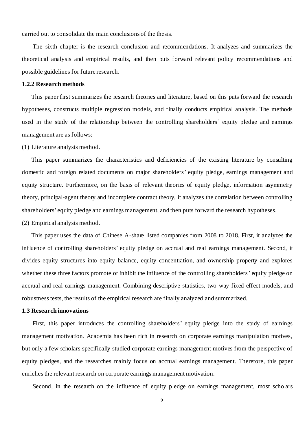carried out to consolidate the main conclusions of the thesis.

The sixth chapter is the research conclusion and recommendations. It analyzes and summarizes the theoretical analysis and empirical results, and then puts forward relevant policy recommendations and possible guidelines for future research.

# <span id="page-9-0"></span>**1.2.2 Research methods**

This paper first summarizes the research theories and literature, based on this puts forward the research hypotheses, constructs multiple regression models, and finally conducts empirical analysis. The methods used in the study of the relationship between the controlling shareholders' equity pledge and earnings management are as follows:

(1) Literature analysis method.

This paper summarizes the characteristics and deficiencies of the existing literature by consulting domestic and foreign related documents on major shareholders' equity pledge, earnings management and equity structure. Furthermore, on the basis of relevant theories of equity pledge, information asymmetry theory, principal-agent theory and incomplete contract theory, it analyzes the correlation between controlling shareholders' equity pledge and earnings management, and then puts forward the research hypotheses.

(2) Empirical analysis method.

This paper uses the data of Chinese A-share listed companies from 2008 to 2018. First, it analyzes the influence of controlling shareholders' equity pledge on accrual and real earnings management. Second, it divides equity structures into equity balance, equity concentration, and ownership property and explores whether these three factors promote or inhibit the influence of the controlling shareholders' equity pledge on accrual and real earnings management. Combining descriptive statistics, two-way fixed effect models, and robustness tests, the results of the empirical research are finally analyzed and summarized.

# <span id="page-9-1"></span>**1.3 Research innovations**

First, this paper introduces the controlling shareholders' equity pledge into the study of earnings management motivation. Academia has been rich in research on corporate earnings manipulation motives, but only a few scholars specifically studied corporate earnings management motives from the perspective of equity pledges, and the researches mainly focus on accrual earnings management. Therefore, this paper enriches the relevant research on corporate earnings management motivation.

Second, in the research on the influence of equity pledge on earnings management, most scholars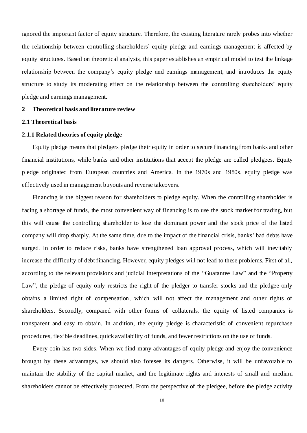ignored the important factor of equity structure. Therefore, the existing literature rarely probes into whether the relationship between controlling shareholders' equity pledge and earnings management is affected by equity structures. Based on theoretical analysis, this paper establishes an empirical model to test the linkage relationship between the company's equity pledge and earnings management, and introduces the equity structure to study its moderating effect on the relationship between the controlling shareholders' equity pledge and earnings management.

#### <span id="page-10-0"></span>**2 Theoretical basis and literature review**

# <span id="page-10-1"></span>**2.1 Theoretical basis**

# <span id="page-10-2"></span>**2.1.1 Related theories of equity pledge**

Equity pledge means that pledgers pledge their equity in order to secure financing from banks and other financial institutions, while banks and other institutions that accept the pledge are called pledgees. Equity pledge originated from European countries and America. In the 1970s and 1980s, equity pledge was effectively used in management buyouts and reverse takeovers.

Financing is the biggest reason for shareholders to pledge equity. When the controlling shareholder is facing a shortage of funds, the most convenient way of financing is to use the stock market for trading, but this will cause the controlling shareholder to lose the dominant power and the stock price of the listed company will drop sharply. At the same time, due to the impact of the financial crisis, banks' bad debts have surged. In order to reduce risks, banks have strengthened loan approval process, which will inevitably increase the difficulty of debt financing. However, equity pledges will not lead to these problems. First of all, according to the relevant provisions and judicial interpretations of the "Guarantee Law" and the "Property Law", the pledge of equity only restricts the right of the pledger to transfer stocks and the pledgee only obtains a limited right of compensation, which will not affect the management and other rights of shareholders. Secondly, compared with other forms of collaterals, the equity of listed companies is transparent and easy to obtain. In addition, the equity pledge is characteristic of convenient repurchase procedures, flexible deadlines, quick availability of funds, and fewer restrictions on the use of funds.

Every coin has two sides. When we find many advantages of equity pledge and enjoy the convenience brought by these advantages, we should also foresee its dangers. Otherwise, it will be unfavorable to maintain the stability of the capital market, and the legitimate rights and interests of small and medium shareholders cannot be effectively protected. From the perspective of the pledgee, before the pledge activity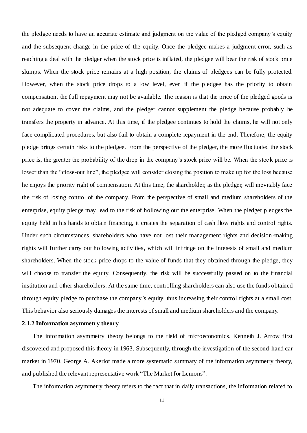the pledgee needs to have an accurate estimate and judgment on the value of the pledged company's equity and the subsequent change in the price of the equity. Once the pledgee makes a judgment error, such as reaching a deal with the pledger when the stock price is inflated, the pledgee will bear the risk of stock price slumps. When the stock price remains at a high position, the claims of pledgees can be fully protected. However, when the stock price drops to a low level, even if the pledgee has the priority to obtain compensation, the full repayment may not be available. The reason is that the price of the pledged goods is not adequate to cover the claims, and the pledger cannot supplement the pledge because probably he transfers the property in advance. At this time, if the pledgee continues to hold the claims, he will not only face complicated procedures, but also fail to obtain a complete repayment in the end. Therefore, the equity pledge brings certain risks to the pledgee. From the perspective of the pledger, the more fluctuated the stock price is, the greater the probability of the drop in the company's stock price will be. When the stoc k price is lower than the "close-out line", the pledgee will consider closing the position to make up for the loss because he enjoys the priority right of compensation. At this time, the shareholder, as the pledger, will inevitably face the risk of losing control of the company. From the perspective of small and medium shareholders of the enterprise, equity pledge may lead to the risk of hollowing out the enterprise. When the pledger pledges the equity held in his hands to obtain financing, it creates the separation of cash flow rights and control rights. Under such circumstances, shareholders who have not lost their management rights and decision -making rights will further carry out hollowing activities, which will infringe on the interests of small and medium shareholders. When the stock price drops to the value of funds that they obtained through the pledge, they will choose to transfer the equity. Consequently, the risk will be successfully passed on to the financial institution and other shareholders. At the same time, controlling shareholders can also use the funds obtained through equity pledge to purchase the company's equity, thus increasing their control rights at a small cost. This behavior also seriously damages the interests of small and medium shareholders and the company.

# <span id="page-11-0"></span>**2.1.2 Information asymmetry theory**

The information asymmetry theory belongs to the field of microeconomics. Kenneth J. Arrow first discovered and proposed this theory in 1963. Subsequently, through the investigation of the second -hand car market in 1970, George A. Akerlof made a more systematic summary of the information asymmetry theory, and published the relevant representative work "The Market for Lemons".

The information asymmetry theory refers to the fact that in daily transactions, the information related to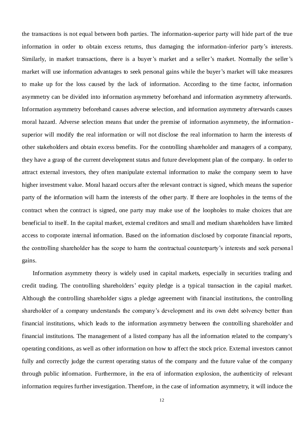the transactions is not equal between both parties. The information-superior party will hide part of the true information in order to obtain excess returns, thus damaging the information-inferior party's interests. Similarly, in market transactions, there is a buyer's market and a seller's market. Normally the seller's market will use information advantages to seek personal gains while the buyer's market will take measures to make up for the loss caused by the lack of information. According to the time factor, information asymmetry can be divided into information asymmetry beforehand and information asymmetry afterwards. Information asymmetry beforehand causes adverse selection, and information asymmetry afterwards causes moral hazard. Adverse selection means that under the premise of information asymmetry, the information superior will modify the real information or will not disclose the real information to harm the interests of other stakeholders and obtain excess benefits. For the controlling shareholder and managers of a company, they have a grasp of the current development status and future development plan of the company. In order to attract external investors, they often manipulate external information to make the company seem to have higher investment value. Moral hazard occurs after the relevant contract is signed, which means the superior party of the information will harm the interests of the other party. If there are loopholes in the terms of the contract when the contract is signed, one party may make use of the loopholes to make choices that are beneficial to itself. In the capital market, external creditors and small and medium shareholders have limited access to corporate internal information. Based on the information disclosed by corporate financial reports, the controlling shareholder has the scope to harm the contractual counterparty's interests and seek persona l gains.

Information asymmetry theory is widely used in capital markets, especially in securities trading and credit trading. The controlling shareholders' equity pledge is a typical transaction in the capital market. Although the controlling shareholder signs a pledge agreement with financial institutions, the controlling shareholder of a company understands the company's development and its own debt solvency better than financial institutions, which leads to the information asymmetry between the controlling shareholder and financial institutions. The management of a listed company has all the information related to the company's operating conditions, as well as other information on how to affect the stock price. External investors cannot fully and correctly judge the current operating status of the company and the future value of the company through public information. Furthermore, in the era of information explosion, the authenticity of relevant information requires further investigation. Therefore, in the case of information asymmetry, it will induce the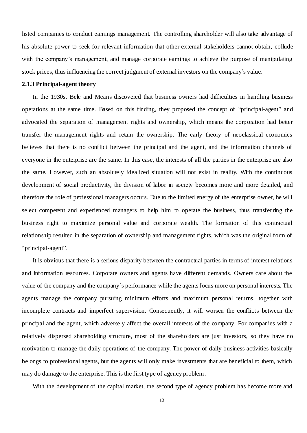listed companies to conduct earnings management. The controlling shareholder will also take advantage of his absolute power to seek for relevant information that other external stakeholders cannot obtain, collude with the company's management, and manage corporate earnings to achieve the purpose of manipulating stock prices, thus influencing the correct judgment of external investors on the company's value.

#### <span id="page-13-0"></span>**2.1.3 Principal-agent theory**

In the 1930s, Bele and Means discovered that business owners had difficulties in handling business operations at the same time. Based on this finding, they proposed the concept of "principal-agent" and advocated the separation of management rights and ownership, which means the corporation had better transfer the management rights and retain the ownership. The early theory of neoclassical economics believes that there is no conflict between the principal and the agent, and the information channels of everyone in the enterprise are the same. In this case, the interests of all the parties in the enterprise are also the same. However, such an absolutely idealized situation will not exist in reality. With the continuous development of social productivity, the division of labor in society becomes more and more detailed, and therefore the role of professional managers occurs. Due to the limited energy of the enterprise owner, he will select competent and experienced managers to help him to operate the business, thus transferring the business right to maximize personal value and corporate wealth. The formation of this contractual relationship resulted in the separation of ownership and management rights, which was the original form of "principal-agent".

It is obvious that there is a serious disparity between the contractual parties in terms of interest relations and information resources. Corporate owners and agents have different demands. Owners care about the value of the company and the company's performance while the agents focus more on personal interests. The agents manage the company pursuing minimum efforts and maximum personal returns, together with incomplete contracts and imperfect supervision. Consequently, it will worsen the conflicts between the principal and the agent, which adversely affect the overall interests of the company. For companies with a relatively dispersed shareholding structure, most of the shareholders are just investors, so they have no motivation to manage the daily operations of the company. The power of daily business activities basically belongs to professional agents, but the agents will only make investments that are beneficial to them, which may do damage to the enterprise. This is the first type of agency problem.

With the development of the capital market, the second type of agency problem has become more and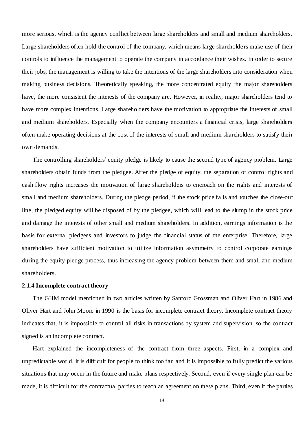more serious, which is the agency conflict between large shareholders and small and medium shareholders. Large shareholders often hold the control of the company, which means large shareholders make use of their controls to influence the management to operate the company in accordance their wishes. In order to secure their jobs, the management is willing to take the intentions of the large shareholders into consideration when making business decisions. Theoretically speaking, the more concentrated equity the major shareholders have, the more consistent the interests of the company are. However, in reality, major shareholders tend to have more complex intentions. Large shareholders have the motivation to appropriate the interests of small and medium shareholders. Especially when the company encounters a financial crisis, large shareholders often make operating decisions at the cost of the interests of small and medium shareholders to satisfy their own demands.

The controlling shareholders' equity pledge is likely to cause the second type of agency problem. Large shareholders obtain funds from the pledgee. After the pledge of equity, the separation of control rights and cash flow rights increases the motivation of large shareholders to encroach on the rights and interests of small and medium shareholders. During the pledge period, if the stock price falls and touches the close-out line, the pledged equity will be disposed of by the pledgee, which will lead to the slump in the stock price and damage the interests of other small and medium shareholders. In addition, earnings information is the basis for external pledgees and investors to judge the financial status of the enterprise. Therefore, large shareholders have sufficient motivation to utilize information asymmetry to control corporate earnings during the equity pledge process, thus increasing the agency problem between them and small and medium shareholders.

#### <span id="page-14-0"></span>**2.1.4 Incomplete contract theory**

The GHM model mentioned in two articles written by Sanford Grossman and Oliver Hart in 1986 and Oliver Hart and John Moore in 1990 is the basis for incomplete contract theory. Incomplete contract theory indicates that, it is impossible to control all risks in transactions by system and supervision, so the contract signed is an incomplete contract.

Hart explained the incompleteness of the contract from three aspects. First, in a complex and unpredictable world, it is difficult for people to think too far, and it is impossible to fully predict the various situations that may occur in the future and make plans respectively. Second, even if every single plan can be made, it is difficult for the contractual parties to reach an agreement on these plans. Third, even if the parties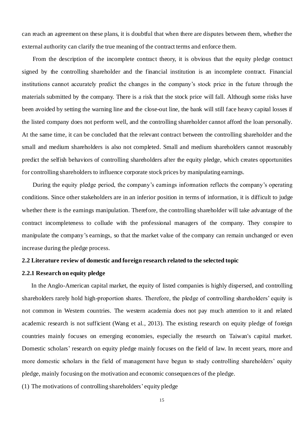can reach an agreement on these plans, it is doubtful that when there are disputes between them, whether the external authority can clarify the true meaning of the contract terms and enforce them.

From the description of the incomplete contract theory, it is obvious that the equity pledge contract signed by the controlling shareholder and the financial institution is an incomplete contract. Financial institutions cannot accurately predict the changes in the company's stock price in the future through the materials submitted by the company. There is a risk that the stock price will fall. Although some risks have been avoided by setting the warning line and the close-out line, the bank will still face heavy capital losses if the listed company does not perform well, and the controlling shareholder cannot afford the loan personally. At the same time, it can be concluded that the relevant contract between the controlling shareholder and the small and medium shareholders is also not completed. Small and medium shareholders cannot reasonably predict the selfish behaviors of controlling shareholders after the equity pledge, which creates opportunities for controlling shareholders to influence corporate stock prices by manipulating earnings.

During the equity pledge period, the company's earnings information reflects the company's operating conditions. Since other stakeholders are in an inferior position in terms of information, it is difficult to judge whether there is the earnings manipulation. Therefore, the controlling shareholder will take advantage of the contract incompleteness to collude with the professional managers of the company. They conspire to manipulate the company's earnings, so that the market value of the company can remain unchanged or even increase during the pledge process.

# <span id="page-15-0"></span>**2.2 Literature review of domestic and foreign research related to the selected topic**

# <span id="page-15-1"></span>**2.2.1 Research on equity pledge**

In the Anglo-American capital market, the equity of listed companies is highly dispersed, and controlling shareholders rarely hold high-proportion shares. Therefore, the pledge of controlling shareholders' equity is not common in Western countries. The western academia does not pay much attention to it and related academic research is not sufficient (Wang et al., 2013). The existing research on equity pledge of foreign countries mainly focuses on emerging economies, especially the research on Taiwan's capital market. Domestic scholars' research on equity pledge mainly focuses on the field of law. In recent years, more and more domestic scholars in the field of management have begun to study controlling shareholders' equity pledge, mainly focusing on the motivation and economic consequences of the pledge.

(1) The motivations of controlling shareholders' equity pledge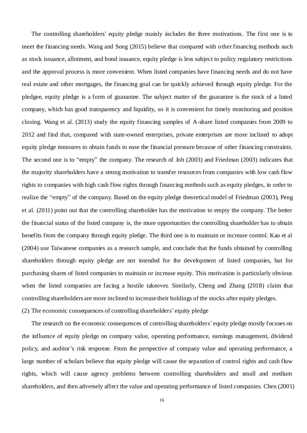The controlling shareholders' equity pledge mainly includes the three motivations. The first one is to meet the financing needs. Wang and Song (2015) believe that compared with other financing methods such as stock issuance, allotment, and bond issuance, equity pledge is less subject to policy regulatory restrictions and the approval process is more convenient. When listed companies have financing needs and do not have real estate and other mortgages, the financing goal can be quickly achieved through equity pledge. For the pledgee, equity pledge is a form of guarantee. The subject matter of the guarantee is the stock of a listed company, which has good transparency and liquidity, so it is convenient for timely monitoring and position closing. Wang et al. (2013) study the equity financing samples of A-share listed companies from 2009 to 2012 and find that, compared with state-owned enterprises, private enterprises are more inclined to adopt equity pledge measures to obtain funds to ease the financial pressure because of other financing constraints. The second one is to "empty" the company. The research of Joh (2003) and Friedman (2003) indicates that the majority shareholders have a strong motivation to transfer resources from companies with low cash flow rights to companies with high cash flow rights through financing methods such as equity pledges, in order to realize the "empty" of the company. Based on the equity pledge theoretical model of Friedman (2003), Peng et al. (2011) point out that the controlling shareholder has the motivation to empty the company. The better the financial status of the listed company is, the more opportunities the controlling shareholder has to obtain benefits from the company through equity pledge. The third one is to maintain or increase control. Kao et al (2004) use Taiwanese companies as a research sample, and conclude that the funds obtained by controlling shareholders through equity pledge are not intended for the development of listed companies, but for purchasing shares of listed companies to maintain or increase equity. This motivation is particularly obvious when the listed companies are facing a hostile takeover. Similarly, Cheng and Zhang (2018) claim that controlling shareholders are more inclined to increase their holdings of the stocks after equity pledges.

(2) The economic consequences of controlling shareholders' equity pledge

The research on the economic consequences of controlling shareholders' equity pledge mostly focuses on the influence of equity pledge on company value, operating performance, earnings management, dividend policy, and auditor's risk response. From the perspective of company value and operating performance, a large number of scholars believe that equity pledge will cause the separation of control rights and cash flow rights, which will cause agency problems between controlling shareholders and small and medium shareholders, and then adversely affect the value and operating performance of listed companies. Chen (2001)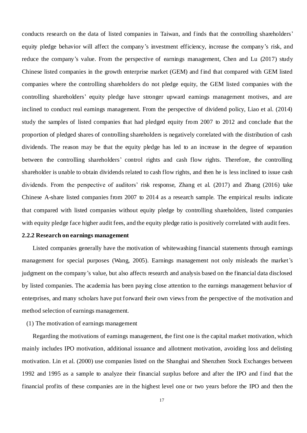conducts research on the data of listed companies in Taiwan, and finds that the controlling shareholders' equity pledge behavior will affect the company's investment efficiency, increase the company's risk, and reduce the company's value. From the perspective of earnings management, Chen and Lu (2017) study Chinese listed companies in the growth enterprise market (GEM) and find that compared with GEM listed companies where the controlling shareholders do not pledge equity, the GEM listed companies with the controlling shareholders' equity pledge have stronger upward earnings management motives, and are inclined to conduct real earnings management. From the perspective of dividend policy, Liao et al. (2014) study the samples of listed companies that had pledged equity from 2007 to 2012 and conclude that the proportion of pledged shares of controlling shareholders is negatively correlated with the distribution of cash dividends. The reason may be that the equity pledge has led to an increase in the degree of separation between the controlling shareholders' control rights and cash flow rights. Therefore, the controlling shareholder is unable to obtain dividends related to cash flow rights, and then he is less inclined to issue cash dividends. From the perspective of auditors' risk response, Zhang et al. (2017) and Zhang (2016) take Chinese A-share listed companies from 2007 to 2014 as a research sample. The empirical results indicate that compared with listed companies without equity pledge by controlling shareholders, listed companies with equity pledge face higher audit fees, and the equity pledge ratio is positively correlated with audit fees.

#### <span id="page-17-0"></span>**2.2.2 Research on earnings management**

Listed companies generally have the motivation of whitewashing financial statements through earnings management for special purposes (Wang, 2005). Earnings management not only misleads the market's judgment on the company's value, but also affects research and analysis based on the financial data disclosed by listed companies. The academia has been paying close attention to the earnings management behavior of enterprises, and many scholars have put forward their own views from the perspective of the motivation and method selection of earnings management.

# (1) The motivation of earnings management

Regarding the motivations of earnings management, the first one is the capital market motivation, which mainly includes IPO motivation, additional issuance and allotment motivation, avoiding loss and delisting motivation. Lin et al. (2000) use companies listed on the Shanghai and Shenzhen Stock Exchanges between 1992 and 1995 as a sample to analyze their financial surplus before and after the IPO and f ind that the financial profits of these companies are in the highest level one or two years before the IPO and then the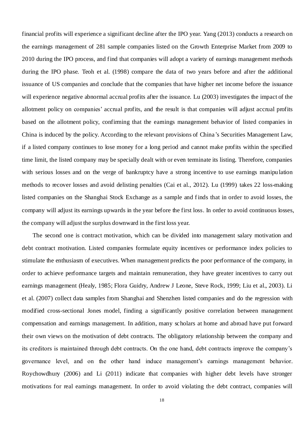financial profits will experience a significant decline after the IPO year. Yang (2013) conducts a research on the earnings management of 281 sample companies listed on the Growth Enterprise Market from 2009 to 2010 during the IPO process, and find that companies will adopt a variety of earnings management methods during the IPO phase. Teoh et al. (1998) compare the data of two years before and after the additional issuance of US companies and conclude that the companies that have higher net income before the issuance will experience negative abnormal accrual profits after the issuance. Lu (2003) investigates the impact of the allotment policy on companies' accrual profits, and the result is that companies will adjust accrual profits based on the allotment policy, confirming that the earnings management behavior of listed companies in China is induced by the policy. According to the relevant provisions of China's Securities Management Law, if a listed company continues to lose money for a long period and cannot make profits within the specified time limit, the listed company may be specially dealt with or even terminate its listing. Therefore, companies with serious losses and on the verge of bankruptcy have a strong incentive to use earnings manipu lation methods to recover losses and avoid delisting penalties (Cai et al., 2012). Lu (1999) takes 22 loss-making listed companies on the Shanghai Stock Exchange as a sample and finds that in order to avoid losses, the company will adjust its earnings upwards in the year before the first loss. In order to avoid continuous losses, the company will adjust the surplus downward in the first loss year.

The second one is contract motivation, which can be divided into management salary motivation and debt contract motivation. Listed companies formulate equity incentives or performance index policies to stimulate the enthusiasm of executives. When management predicts the poor performance of the company, in order to achieve performance targets and maintain remuneration, they have greater incentives to carry out earnings management (Healy, 1985; Flora Guidry, Andrew J Leone, Steve Rock, 1999; Liu et al., 2003). Li et al. (2007) collect data samples from Shanghai and Shenzhen listed companies and do the regression with modified cross-sectional Jones model, finding a significantly positive correlation between management compensation and earnings management. In addition, many scholars at home and abroad have put forward their own views on the motivation of debt contracts. The obligatory relationship between the company and its creditors is maintained through debt contracts. On the one hand, debt contracts improve the company's governance level, and on the other hand induce management's earnings management behavior. Roychowdhury (2006) and Li (2011) indicate that companies with higher debt levels have stronger motivations for real earnings management. In order to avoid violating the debt contract, companies will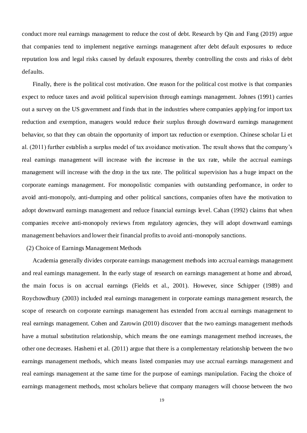conduct more real earnings management to reduce the cost of debt. Research by Qin and Fang (2019) argue that companies tend to implement negative earnings management after debt default exposures to reduce reputation loss and legal risks caused by default exposures, thereby controlling the costs and risks of debt defaults.

Finally, there is the political cost motivation. One reason for the political cost motive is that companies expect to reduce taxes and avoid political supervision through earnings management. Johnes (1991) carries out a survey on the US government and finds that in the industries where companies applying for import tax reduction and exemption, managers would reduce their surplus through downward earnings management behavior, so that they can obtain the opportunity of import tax reduction or exemption. Chinese scholar Li et al. (2011) further establish a surplus model of tax avoidance motivation. The result shows that the company's real earnings management will increase with the increase in the tax rate, while the accrual earnings management will increase with the drop in the tax rate. The political supervision has a huge impact on the corporate earnings management. For monopolistic companies with outstanding performance, in order to avoid anti-monopoly, anti-dumping and other political sanctions, companies often have the motivation to adopt downward earnings management and reduce financial earnings level. Cahan (1992) claims that when companies receive anti-monopoly reviews from regulatory agencies, they will adopt downward earnings management behaviors and lower their financial profits to avoid anti-monopoly sanctions.

# (2) Choice of Earnings Management Methods

Academia generally divides corporate earnings management methods into accrual earnings management and real earnings management. In the early stage of research on earnings management at home and abroad, the main focus is on accrual earnings (Fields et al., 2001). However, since Schipper (1989) and Roychowdhury (2003) included real earnings management in corporate earnings management research, the scope of research on corporate earnings management has extended from accrual earnings management to real earnings management. Cohen and Zarowin (2010) discover that the two earnings management methods have a mutual substitution relationship, which means the one earnings management method increases, the other one decreases. Hashemi et al. (2011) argue that there is a complementary relationship between the two earnings management methods, which means listed companies may use accrual earnings management and real earnings management at the same time for the purpose of earnings manipulation. Facing the choice of earnings management methods, most scholars believe that company managers will choose between the two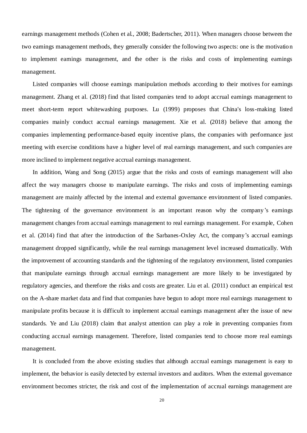earnings management methods (Cohen et al., 2008; Badertscher, 2011). When managers choose between the two earnings management methods, they generally consider the following two aspects: one is the motivatio n to implement earnings management, and the other is the risks and costs of implementing earnings management.

Listed companies will choose earnings manipulation methods according to their motives for earnings management. Zhang et al. (2018) find that listed companies tend to adopt accrual earnings management to meet short-term report whitewashing purposes. Lu (1999) proposes that China's loss-making listed companies mainly conduct accrual earnings management. Xie et al. (2018) believe that among the companies implementing performance-based equity incentive plans, the companies with performance just meeting with exercise conditions have a higher level of real earnings management, and such companies are more inclined to implement negative accrual earnings management.

In addition, Wang and Song (2015) argue that the risks and costs of earnings management will also affect the way managers choose to manipulate earnings. The risks and costs of implementing earnings management are mainly affected by the internal and external governance environment of listed companies. The tightening of the governance environment is an important reason why the company's earnings management changes from accrual earnings management to real earnings management. For example, Cohen et al. (2014) find that after the introduction of the Sarbanes-Oxley Act, the company's accrual earnings management dropped significantly, while the real earnings management level increased dramatically. With the improvement of accounting standards and the tightening of the regulatory environment, listed companies that manipulate earnings through accrual earnings management are more likely to be investigated by regulatory agencies, and therefore the risks and costs are greater. Liu et al. (2011) conduct an empirical test on the A-share market data and find that companies have begun to adopt more real earnings management to manipulate profits because it is difficult to implement accrual earnings management after the issue of new standards. Ye and Liu (2018) claim that analyst attention can play a role in preventing companies from conducting accrual earnings management. Therefore, listed companies tend to choose more real earnings management.

It is concluded from the above existing studies that although accrual earnings management is easy to implement, the behavior is easily detected by external investors and auditors. When the external governance environment becomes stricter, the risk and cost of the implementation of accrual earnings management are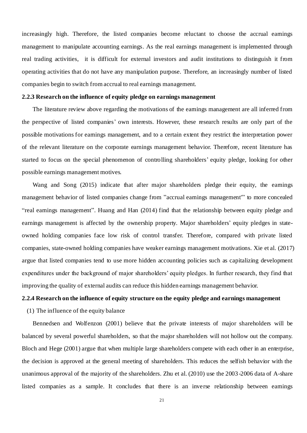increasingly high. Therefore, the listed companies become reluctant to choose the accrual earnings management to manipulate accounting earnings. As the real earnings management is implemented through real trading activities, it is difficult for external investors and audit institutions to distinguish it from operating activities that do not have any manipulation purpose. Therefore, an increasingly number of listed companies begin to switch from accrual to real earnings management.

#### <span id="page-21-0"></span>**2.2.3 Research on the influence of equity pledge on earnings management**

The literature review above regarding the motivations of the earnings management are all inferred from the perspective of listed companies' own interests. However, these research results are only part of the possible motivations for earnings management, and to a certain extent they restrict the interpretation power of the relevant literature on the corporate earnings management behavior. Therefore, recent literature has started to focus on the special phenomenon of controlling shareholders' equity pledge, looking for other possible earnings management motives.

Wang and Song (2015) indicate that after major shareholders pledge their equity, the earnings management behavior of listed companies change from "accrual earnings management'" to more concealed "real earnings management". Huang and Han (2014) find that the relationship between equity pledge and earnings management is affected by the ownership property. Major shareholders' equity pledges in stateowned holding companies face low risk of control transfer. Therefore, compared with private listed companies, state-owned holding companies have weaker earnings management motivations. Xie et al. (2017) argue that listed companies tend to use more hidden accounting policies such as capitalizing development expenditures under the background of major shareholders' equity pledges. In further research, they find that improving the quality of external audits can reduce this hidden earnings management behavior.

# <span id="page-21-1"></span>**2.2.4 Research on the influence of equity structure on the equity pledge and earnings management**

(1) The influence of the equity balance

Bennedsen and Wolfenzon (2001) believe that the private interests of major shareholders will be balanced by several powerful shareholders, so that the major shareholders will not hollow out the company. Bloch and Hege (2001) argue that when multiple large shareholders compete with each other in an enterprise, the decision is approved at the general meeting of shareholders. This reduces the selfish behavior with the unanimous approval of the majority of the shareholders. Zhu et al. (2010) use the 2003-2006 data of A-share listed companies as a sample. It concludes that there is an inverse relationship between earnings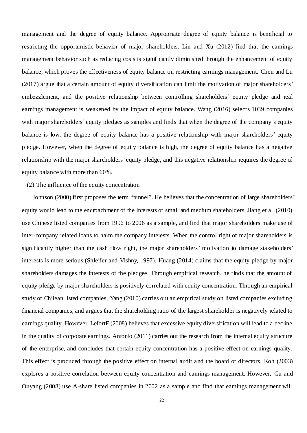management and the degree of equity balance. Appropriate degree of equity balance is beneficial to restricting the opportunistic behavior of major shareholders. Lin and Xu (2012) find that the earnings management behavior such as reducing costs is significantly diminished through the enhancement of equity balance, which proves the effectiveness of equity balance on restricting earnings management. Chen and Lu (2017) argue that a certain amount of equity diversification can limit the motivation of major shareholders' embezzlement, and the positive relationship between controlling shareholders' equity pledge and real earnings management is weakened by the impact of equity balance. Wang (2016) selects 1039 companies with major shareholders' equity pledges as samples and finds that when the degree of the company's equity balance is low, the degree of equity balance has a positive relationship with major shareholders' equity pledge. However, when the degree of equity balance is high, the degree of equity balance has a negative relationship with the major shareholders' equity pledge, and this negative relationship requires the degree of equity balance with more than 60%.

# (2) The influence of the equity concentration

Johnson (2000) first proposes the term "tunnel". He believes that the concentration of large shareholders' equity would lead to the encroachment of the interests of small and medium shareholders. Jiang et al. (2010) use Chinese listed companies from 1996 to 2006 as a sample, and find that major shareholders make use of inter-company related loans to harm the company interests. When the control right of major shareholders is significantly higher than the cash flow right, the major shareholders' motivation to damage stakeholders' interests is more serious (Shleifer and Vishny, 1997). Huang (2014) claims that the equity pledge by major shareholders damages the interests of the pledgee. Through empirical research, he finds that the amount of equity pledge by major shareholders is positively correlated with equity concentration. Through an empirical study of Chilean listed companies, Yang (2010) carries out an empirical study on listed companies excluding financial companies, and argues that the shareholding ratio of the largest shareholder is negatively related to earnings quality. However, LefortF (2008) believes that excessive equity diversification will lead to a decline in the quality of corporate earnings. Antonio (2011) carries out the research from the internal equity structure of the enterprise, and concludes that certain equity concentration has a positive effect on earnings quality. This effect is produced through the positive effect on internal audit and the board of directors. Koh (2003) explores a positive correlation between equity concentration and earnings management. However, Gu and Ouyang (2008) use A-share listed companies in 2002 as a sample and find that earnings management will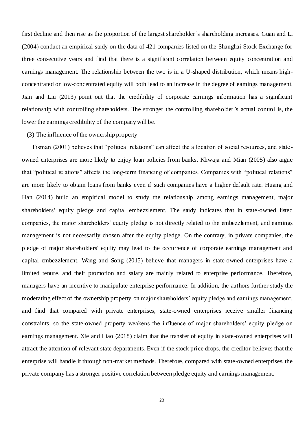first decline and then rise as the proportion of the largest shareholder's shareholding increases. Guan and Li (2004) conduct an empirical study on the data of 421 companies listed on the Shanghai Stock Exchange for three consecutive years and find that there is a significant correlation between equity concentration and earnings management. The relationship between the two is in a U-shaped distribution, which means highconcentrated or low-concentrated equity will both lead to an increase in the degree of earnings management. Jian and Liu (2013) point out that the credibility of corporate earnings information has a significant relationship with controlling shareholders. The stronger the controlling shareholder's actual control is, the lower the earnings credibility of the company will be.

# (3) The influence of the ownership property

Fisman (2001) believes that "political relations" can affect the allocation of social resources, and stateowned enterprises are more likely to enjoy loan policies from banks. Khwaja and Mian (2005) also argue that "political relations" affects the long-term financing of companies. Companies with "political relations" are more likely to obtain loans from banks even if such companies have a higher default rate. Huang and Han (2014) build an empirical model to study the relationship among earnings management, major shareholders' equity pledge and capital embezzlement. The study indicates that in state-owned listed companies, the major shareholders' equity pledge is not directly related to the embezzlement, and earnings management is not necessarily chosen after the equity pledge. On the contrary, in private companies, the pledge of major shareholders' equity may lead to the occurrence of corporate earnings management and capital embezzlement. Wang and Song (2015) believe that managers in state-owned enterprises have a limited tenure, and their promotion and salary are mainly related to enterprise performance. Therefore, managers have an incentive to manipulate enterprise performance. In addition, the authors further study the moderating effect of the ownership property on major shareholders' equity pledge and earnings management, and find that compared with private enterprises, state-owned enterprises receive smaller financing constraints, so the state-owned property weakens the influence of major shareholders' equity pledge on earnings management. Xie and Liao (2018) claim that the transfer of equity in state-owned enterprises will attract the attention of relevant state departments. Even if the stock price drops, the creditor believes that the enterprise will handle it through non-market methods. Therefore, compared with state-owned enterprises, the private company has a stronger positive correlation between pledge equity and earnings management.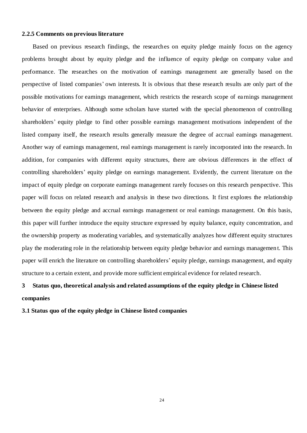#### <span id="page-24-0"></span>**2.2.5 Comments on previous literature**

Based on previous research findings, the researches on equity pledge mainly focus on the agency problems brought about by equity pledge and the influence of equity pledge on company value and performance. The researches on the motivation of earnings management are generally based on the perspective of listed companies' own interests. It is obvious that these research results are only part of the possible motivations for earnings management, which restricts the research scope of ea rnings management behavior of enterprises. Although some scholars have started with the special phenomenon of controlling shareholders' equity pledge to find other possible earnings management motivations independent of the listed company itself, the research results generally measure the degree of accrual earnings management. Another way of earnings management, real earnings management is rarely incorporated into the research. In addition, for companies with different equity structures, there are obvious differences in the effect of controlling shareholders' equity pledge on earnings management. Evidently, the current literature on the impact of equity pledge on corporate earnings management rarely focuses on this research perspective. This paper will focus on related research and analysis in these two directions. It first explores the relationship between the equity pledge and accrual earnings management or real earnings management. On this basis, this paper will further introduce the equity structure expressed by equity balance, equity concentration, and the ownership property as moderating variables, and systematically analyzes how different equity structures play the moderating role in the relationship between equity pledge behavior and earnings managemen t. This paper will enrich the literature on controlling shareholders' equity pledge, earnings management, and equity structure to a certain extent, and provide more sufficient empirical evidence for related research.

# <span id="page-24-1"></span>**3 Status quo, theoretical analysis and related assumptions of the equity pledge in Chinese listed companies**

<span id="page-24-2"></span>**3.1 Status quo of the equity pledge in Chinese listed companies**

24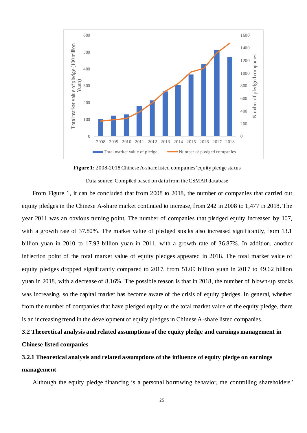

**Figure 1:** 2008-2018 Chinese A-share listed companies'equity pledge status

Data source: Compiled based on data from the CSMAR database

From Figure 1, it can be concluded that from 2008 to 2018, the number of companies that carried out equity pledges in the Chinese A-share market continued to increase, from 242 in 2008 to 1,477 in 2018. The year 2011 was an obvious turning point. The number of companies that pledged equity increased by 107, with a growth rate of 37.80%. The market value of pledged stocks also increased significantly, from 13.1 billion yuan in 2010 to 17.93 billion yuan in 2011, with a growth rate of 36.87%. In addition, another inflection point of the total market value of equity pledges appeared in 2018. The total market value of equity pledges dropped significantly compared to 2017, from 51.09 billion yuan in 2017 to 49.62 billion yuan in 2018, with a decrease of 8.16%. The possible reason is that in 2018, the number of blown-up stocks was increasing, so the capital market has become aware of the crisis of equity pledges. In general, whether from the number of companies that have pledged equity or the total market value of the equity pledge, there is an increasing trend in the development of equity pledges in Chinese A-share listed companies.

# <span id="page-25-0"></span>**3.2 Theoretical analysis and related assumptions of the equity pledge and earnings management in Chinese listed companies**

# <span id="page-25-1"></span>**3.2.1 Theoretical analysis and related assumptions of the influence of equity pledge on earnings management**

Although the equity pledge financing is a personal borrowing behavior, the controlling shareholders'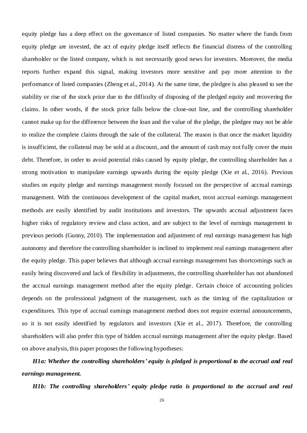equity pledge has a deep effect on the governance of listed companies. No matter where the funds from equity pledge are invested, the act of equity pledge itself reflects the financial distress of the controlling shareholder or the listed company, which is not necessarily good news for investors. Moreover, the media reports further expand this signal, making investors more sensitive and pay more attention to the performance of listed companies (Zheng et al., 2014). At the same time, the pledgee is also pleased to see the stability or rise of the stock price due to the difficulty of disposing of the pledged equity and recovering the claims. In other words, if the stock price falls below the close-out line, and the controlling shareholder cannot make up for the difference between the loan and the value of the pledge, the pledgee may not be able to realize the complete claims through the sale of the collateral. The reason is that once the market liquidity is insufficient, the collateral may be sold at a discount, and the amount of cash may not fully cover the main debt. Therefore, in order to avoid potential risks caused by equity pledge, the controlling shareholder has a strong motivation to manipulate earnings upwards during the equity pledge (Xie et al., 2016). Previous studies on equity pledge and earnings management mostly focused on the perspective of accrual earnings management. With the continuous development of the capital market, most accrual earnings management methods are easily identified by audit institutions and investors. The upwards accrual adjustment faces higher risks of regulatory review and class action, and are subject to the level of earnings management in previous periods (Gunny, 2010). The implementation and adjustment of real earnings management has high autonomy and therefore the controlling shareholder is inclined to implement real earnings management after the equity pledge. This paper believes that although accrual earnings management has shortcomings such as easily being discovered and lack of flexibility in adjustments, the controlling shareholder has not abandoned the accrual earnings management method after the equity pledge. Certain choice of accounting policies depends on the professional judgment of the management, such as the timing of the capitalization or expenditures. This type of accrual earnings management method does not require external announcements, so it is not easily identified by regulators and investors (Xie et al., 2017). Therefore, the controlling shareholders will also prefer this type of hidden accrual earnings management after the equity pledge. Based on above analysis, this paper proposes the following hypotheses:

*H1a: Whether the controlling shareholders' equity is pledged is proportional to the accrual and real earnings management.*

*H1b: The controlling shareholders' equity pledge ratio is proportional to the accrual and real*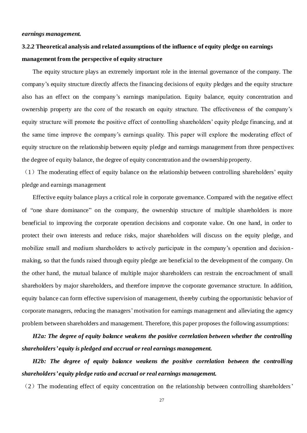# <span id="page-27-0"></span>**3.2.2 Theoretical analysis and related assumptions of the influence of equity pledge on earnings management from the perspective of equity structure**

The equity structure plays an extremely important role in the internal governance of the company. The company's equity structure directly affects the financing decisions of equity pledges and the equity structure also has an effect on the company's earnings manipulation. Equity balance, equity concentration and ownership property are the core of the research on equity structure. The effectiveness of the company's equity structure will promote the positive effect of controlling shareholders' equity pledge financing, and at the same time improve the company's earnings quality. This paper will explore the moderating effect of equity structure on the relationship between equity pledge and earnings management from three perspectives: the degree of equity balance, the degree of equity concentration and the ownership property.

 $(1)$  The moderating effect of equity balance on the relationship between controlling shareholders' equity pledge and earnings management

Effective equity balance plays a critical role in corporate governance. Compared with the negative effect of "one share dominance" on the company, the ownership structure of multiple shareholders is more beneficial to improving the corporate operation decisions and corporate value. On one hand, in order to protect their own interests and reduce risks, major shareholders will discuss on the equity pledge, and mobilize small and medium shareholders to actively participate in the company's operation and decision making, so that the funds raised through equity pledge are beneficial to the development of the company. On the other hand, the mutual balance of multiple major shareholders can restrain the encroachment of small shareholders by major shareholders, and therefore improve the corporate governance structure. In addition, equity balance can form effective supervision of management, thereby curbing the opportunistic behavior of corporate managers, reducing the managers'motivation for earnings management and alleviating the agency problem between shareholders and management. Therefore, this paper proposes the following assumptions:

# *H2a: The degree of equity balance weakens the positive correlation between whether the controlling shareholders' equity is pledged and accrual or real earnings management.*

*H2b: The degree of equity balance weakens the positive correlation between the controlling shareholders' equity pledge ratio and accrual or real earnings management.*

 $(2)$  The moderating effect of equity concentration on the relationship between controlling shareholders'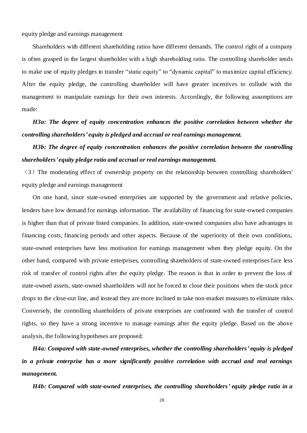equity pledge and earnings management

Shareholders with different shareholding ratios have different demands. The control right of a company is often grasped in the largest shareholder with a high shareholding ratio. The controlling shareholder tends to make use of equity pledges to transfer "static equity" to "dynamic capital" to maximize capital efficiency. After the equity pledge, the controlling shareholder will have greater incentives to collude with the management to manipulate earnings for their own interests. Accordingly, the following assumptions are made:

*H3a: The degree of equity concentration enhances the positive correlation between whether the controlling shareholders' equity is pledged and accrual or real earnings management.*

*H3b: The degree of equity concentration enhances the positive correlation between the controlling shareholders' equity pledge ratio and accrual or real earnings management.*

(3)The moderating effect of ownership property on the relationship between controlling shareholders' equity pledge and earnings management

On one hand, since state-owned enterprises are supported by the government and relative policies, lenders have low demand for earnings information. The availability of financing for state-owned companies is higher than that of private listed companies. In addition, state-owned companies also have advantages in financing costs, financing periods and other aspects. Because of the superiority of their own conditions, state-owned enterprises have less motivation for earnings management when they pledge equity. On the other hand, compared with private enterprises, controlling shareholders of state-owned enterprises face less risk of transfer of control rights after the equity pledge. The reason is that in order to prevent the loss of state-owned assets, state-owned shareholders will not be forced to close their positions when the stock price drops to the close-out line, and instead they are more inclined to take non-market measures to eliminate risks. Conversely, the controlling shareholders of private enterprises are confronted with the transfer of control rights, so they have a strong incentive to manage earnings after the equity pledge. Based on the above analysis, the following hypotheses are proposed:

*H4a: Compared with state-owned enterprises, whether the controlling shareholders' equity is pledged in a private enterprise has a more significantly positive correlation with accrual and real earnings management.*

*H4b: Compared with state-owned enterprises, the controlling shareholders' equity pledge ratio in a*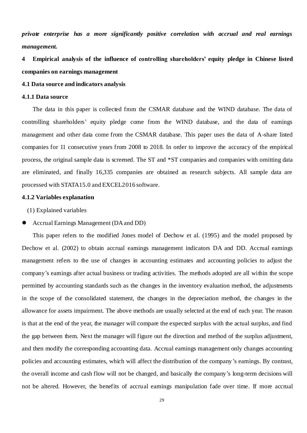*private enterprise has a more significantly positive correlation with accrual and real earnings management.*

<span id="page-29-0"></span>**4 Empirical analysis of the influence of controlling shareholders' equity pledge in Chinese listed companies on earnings management**

# <span id="page-29-1"></span>**4.1 Data source and indicators analysis**

#### <span id="page-29-2"></span>**4.1.1 Data source**

The data in this paper is collected from the CSMAR database and the WIND database. The data of controlling shareholders' equity pledge come from the WIND database, and the data of earnings management and other data come from the CSMAR database. This paper uses the data of A-share listed companies for 11 consecutive years from 2008 to 2018. In order to improve the accuracy of the empirical process, the original sample data is screened. The ST and \*ST companies and companies with omitting data are eliminated, and finally 16,335 companies are obtained as research subjects. All sample data are processed with STATA15.0 and EXCEL2016 software.

#### <span id="page-29-3"></span>**4.1.2 Variables explanation**

(1) Explained variables

# ⚫ Accrual Earnings Management (DA and DD)

This paper refers to the modified Jones model of Dechow et al. (1995) and the model proposed by Dechow et al. (2002) to obtain accrual earnings management indicators DA and DD. Accrual earnings management refers to the use of changes in accounting estimates and accounting policies to adjust the company's earnings after actual business or trading activities. The methods adopted are all within the scope permitted by accounting standards such as the changes in the inventory evaluation method, the adjustments in the scope of the consolidated statement, the changes in the depreciation method, the changes in the allowance for assets impairment. The above methods are usually selected at the end of each year. The reason is that at the end of the year, the manager will compare the expected surplus with the actual surplus, and find the gap between them. Next the manager will figure out the direction and method of the surplus adjustment, and then modify the corresponding accounting data. Accrual earnings management only changes accounting policies and accounting estimates, which will affect the distribution of the company's earnings. By contrast, the overall income and cash flow will not be changed, and basically the company's long-term decisions will not be altered. However, the benefits of accrual earnings manipulation fade over time. If more accrual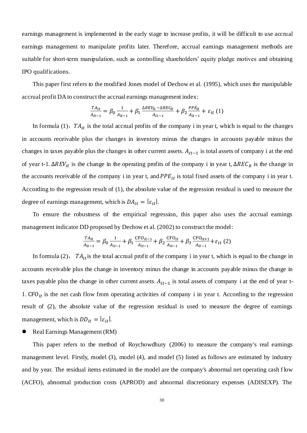earnings management is implemented in the early stage to increase profits, it will be difficult to use accrual earnings management to manipulate profits later. Therefore, accrual earnings management methods are suitable for short-term manipulation, such as controlling shareholders' equity pledge motives and obtaining IPO qualifications.

This paper first refers to the modified Jones model of Dechow et al. (1995), which uses the manipulable accrual profit DA to construct the accrual earnings management index:

$$
\frac{TA_{it}}{A_{it-1}} = \beta_0 \frac{1}{A_{it-1}} + \beta_1 \frac{\Delta REV_{it} - \Delta REC_{it}}{A_{it-1}} + \beta_2 \frac{PPE_{it}}{A_{it-1}} + \varepsilon_{it} (1)
$$

In formula (1),  $TA_{it}$  is the total accrual profits of the company i in year t, which is equal to the changes in accounts receivable plus the changes in inventory minus the changes in accounts payable minus the changes in taxes payable plus the changes in other current assets.  $A_{it-1}$  is total assets of company i at the end of year t-1.  $\Delta REV_{it}$  is the change in the operating profits of the company i in year t,  $\Delta REC_{it}$  is the change in the accounts receivable of the company i in year t, and  $PPE_{it}$  is total fixed assets of the company i in year t. According to the regression result of (1), the absolute value of the regression residual is used to measure the degree of earnings management, which is  $DA_{it} = |\varepsilon_{it}|$ .

To ensure the robustness of the empirical regression, this paper also uses the accrual earnings management indicator DD proposed by Dechow et al. (2002) to construct the model:

$$
\frac{TA_{it}}{A_{it-1}} = \beta_0 \frac{1}{A_{it-1}} + \beta_1 \frac{CFO_{it-1}}{A_{it-1}} + \beta_2 \frac{CFO_{it}}{A_{it-1}} + \beta_3 \frac{CFO_{it+1}}{A_{it-1}} + \varepsilon_{it} (2)
$$

In formula (2),  $TA_{it}$  is the total accrual profit of the company i in year t, which is equal to the change in accounts receivable plus the change in inventory minus the change in accounts payable minus the change in taxes payable plus the change in other current assets.  $A_{it-1}$  is total assets of company i at the end of year t-1.  $CFO_{it}$  is the net cash flow from operating activities of company i in year t. According to the regression result of (2), the absolute value of the regression residual is used to measure the degree of earnings management, which is  $DD_{it} = |\varepsilon_{it}|$ .

⚫ Real Earnings Management (RM)

This paper refers to the method of Roychowdhury (2006) to measure the company's real earnings management level. Firstly, model (3), model (4), and model (5) listed as follows are estimated by industry and by year. The residual items estimated in the model are the company's abnormal net operating cash f low (ACFO), abnormal production costs (APROD) and abnormal discretionary expenses (ADISEXP). The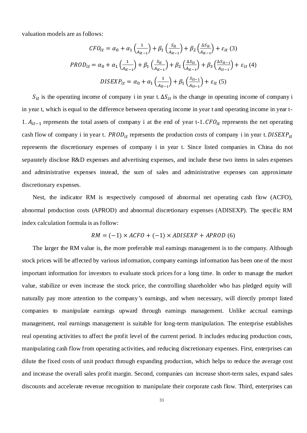valuation models are as follows:

$$
CFO_{it} = \alpha_0 + \alpha_1 \left(\frac{1}{A_{it-1}}\right) + \beta_1 \left(\frac{S_{it}}{A_{it-1}}\right) + \beta_2 \left(\frac{\Delta S_{it}}{A_{it-1}}\right) + \varepsilon_{it} (3)
$$
  
\n
$$
PROD_{it} = \alpha_0 + \alpha_1 \left(\frac{1}{A_{it-1}}\right) + \beta_1 \left(\frac{S_{it}}{A_{it-1}}\right) + \beta_2 \left(\frac{\Delta S_{it}}{A_{it-1}}\right) + \beta_3 \left(\frac{\Delta S_{it-1}}{A_{it-1}}\right) + \varepsilon_{it} (4)
$$
  
\n
$$
DISEXP_{it} = \alpha_0 + \alpha_1 \left(\frac{1}{A_{it-1}}\right) + \beta_1 \left(\frac{S_{it-1}}{A_{it-1}}\right) + \varepsilon_{it} (5)
$$

 $S_{it}$  is the operating income of company i in year t.  $\Delta S_{it}$  is the change in operating income of company i in year t, which is equal to the difference between operating income in year t and operating income in year t-1.  $A_{it-1}$  represents the total assets of company i at the end of year t-1.  $CFO_{it}$  represents the net operating cash flow of company i in year t.  $PROD_{it}$  represents the production costs of company i in year t. DISEXP<sub>it</sub> represents the discretionary expenses of company i in year t. Since listed companies in China do not separately disclose R&D expenses and advertising expenses, and include these two items in sales expenses and administrative expenses instead, the sum of sales and administrative expenses can approximate discretionary expenses.

Nest, the indicator RM is respectively composed of abnormal net operating cash flow (ACFO), abnormal production costs (APROD) and abnormal discretionary expenses (ADISEXP). The specific RM index calculation formula is as follow:

$$
RM = (-1) \times ACFO + (-1) \times ADISEXP + APROD
$$
 (6)

The larger the RM value is, the more preferable real earnings management is to the company. Although stock prices will be affected by various information, company earnings information has been one of the most important information for investors to evaluate stock prices for a long time. In order to manage the market value, stabilize or even increase the stock price, the controlling shareholder who has pledged equity will naturally pay more attention to the company's earnings, and when necessary, will directly prompt listed companies to manipulate earnings upward through earnings management. Unlike accrual earnings management, real earnings management is suitable for long-term manipulation. The enterprise establishes real operating activities to affect the profit level of the current period. It includes reducing production costs, manipulating cash flow from operating activities, and reducing discretionary expenses. First, enterprises can dilute the fixed costs of unit product through expanding production, which helps to reduce the average cost and increase the overall sales profit margin. Second, companies can increase short-term sales, expand sales discounts and accelerate revenue recognition to manipulate their corporate cash flow. Third, enterprises can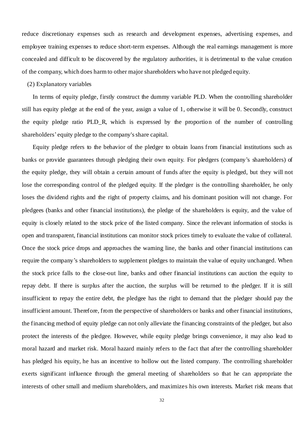reduce discretionary expenses such as research and development expenses, advertising expenses, and employee training expenses to reduce short-term expenses. Although the real earnings management is more concealed and difficult to be discovered by the regulatory authorities, it is detrimental to the value creation of the company, which does harm to other major shareholders who have not pledged equity.

# (2) Explanatory variables

In terms of equity pledge, firstly construct the dummy variable PLD. When the controlling shareholder still has equity pledge at the end of the year, assign a value of 1, otherwise it will be 0. Secondly, construct the equity pledge ratio PLD\_R, which is expressed by the proportion of the number of controlling shareholders' equity pledge to the company's share capital.

Equity pledge refers to the behavior of the pledger to obtain loans from financial institutions such as banks or provide guarantees through pledging their own equity. For pledgers (company's shareholders) of the equity pledge, they will obtain a certain amount of funds after the equity is pledged, but they will not lose the corresponding control of the pledged equity. If the pledger is the controlling shareholder, he only loses the dividend rights and the right of property claims, and his dominant position will not change. For pledgees (banks and other financial institutions), the pledge of the shareholders is equity, and the value of equity is closely related to the stock price of the listed company. Since the relevant information of stocks is open and transparent, financial institutions can monitor stock prices timely to evaluate the value of collateral. Once the stock price drops and approaches the warning line, the banks and other financial institutions can require the company's shareholders to supplement pledges to maintain the value of equity unchanged. When the stock price falls to the close-out line, banks and other financial institutions can auction the equity to repay debt. If there is surplus after the auction, the surplus will be returned to the pledger. If it is still insufficient to repay the entire debt, the pledgee has the right to demand that the pledger should pay the insufficient amount. Therefore, from the perspective of shareholders or banks and other financial institutions, the financing method of equity pledge can not only alleviate the financing constraints of the pledger, but also protect the interests of the pledgee. However, while equity pledge brings convenience, it may also lead to moral hazard and market risk. Moral hazard mainly refers to the fact that after the controlling shareholder has pledged his equity, he has an incentive to hollow out the listed company. The controlling shareholder exerts significant influence through the general meeting of shareholders so that he can appropriate the interests of other small and medium shareholders, and maximizes his own interests. Market risk means that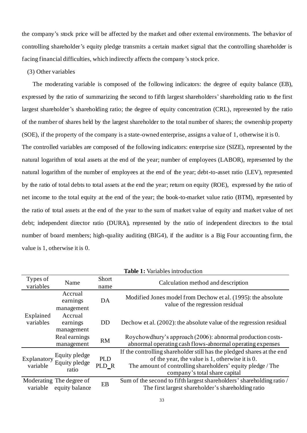the company's stock price will be affected by the market and other external environments. The behavior of controlling shareholder's equity pledge transmits a certain market signal that the controlling shareholder is facing financial difficulties, which indirectly affects the company's stock price.

# (3) Other variables

The moderating variable is composed of the following indicators: the degree of equity balance (EB), expressed by the ratio of summarizing the second to fifth largest shareholders' shareholding ratio to the first largest shareholder's shareholding ratio; the degree of equity concentration (CRL), represented by the ratio of the number of shares held by the largest shareholder to the total number of shares; the ownership property (SOE), if the property of the company is a state-owned enterprise, assigns a value of 1, otherwise it is 0.

The controlled variables are composed of the following indicators: enterprise size (SIZE), represented by the natural logarithm of total assets at the end of the year; number of employees (LABOR), represented by the natural logarithm of the number of employees at the end of the year; debt-to-asset ratio (LEV), represented by the ratio of total debts to total assets at the end the year; return on equity (ROE), expressed by the ratio of net income to the total equity at the end of the year; the book-to-market value ratio (BTM), represented by the ratio of total assets at the end of the year to the sum of market value of equity and market value of net debt; independent director ratio (DURA), represented by the ratio of independent directors to the total number of board members; high-quality auditing (BIG4), if the auditor is a Big Four accounting firm, the value is 1, otherwise it is 0.

| Types of<br>variables   | Name                                       | Short<br>name       | Calculation method and description                                                                                                                                                                                              |
|-------------------------|--------------------------------------------|---------------------|---------------------------------------------------------------------------------------------------------------------------------------------------------------------------------------------------------------------------------|
|                         | Accrual<br>earnings<br>management          | DA                  | Modified Jones model from Dechow et al. (1995): the absolute<br>value of the regression residual                                                                                                                                |
| Explained<br>variables  | Accrual<br>earnings<br>management          | <b>DD</b>           | Dechow et al. (2002): the absolute value of the regression residual                                                                                                                                                             |
|                         | Real earnings<br>management                | <b>RM</b>           | Roychowdhury's approach (2006): abnormal production costs-<br>abnormal operating cash flows-abnormal operating expenses                                                                                                         |
| Explanatory<br>variable | Equity pledge<br>Equity pledge<br>ratio    | <b>PLD</b><br>PLD R | If the controlling shareholder still has the pledged shares at the end<br>of the year, the value is $1$ , otherwise it is $0$ .<br>The amount of controlling shareholders' equity pledge / The<br>company's total share capital |
| variable                | Moderating The degree of<br>equity balance | EB                  | Sum of the second to fifth largest shareholders' shareholding ratio /<br>The first largest shareholder's shareholding ratio                                                                                                     |

**Table 1:** Variables introduction

33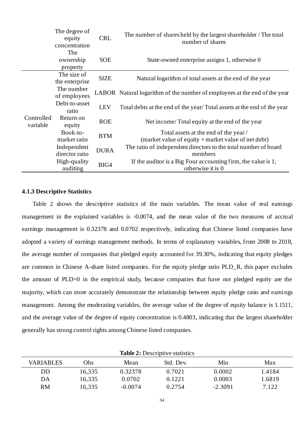|                        | The degree of<br><b>CRL</b><br>equity<br>concentration |             | The number of shares held by the largest shareholder / The total<br>number of shares         |
|------------------------|--------------------------------------------------------|-------------|----------------------------------------------------------------------------------------------|
|                        | The<br>ownership<br>property                           | <b>SOE</b>  | State-owned enterprise assigns 1, otherwise 0                                                |
|                        | The size of<br>the enterprise                          | <b>SIZE</b> | Natural logarithm of total assets at the end of the year                                     |
|                        | The number<br>of employees                             |             | LABOR Natural logarithm of the number of employees at the end of the year                    |
|                        | Debt-to-asset<br>ratio                                 | <b>LEV</b>  | Total debts at the end of the year/Total assets at the end of the year                       |
| Controlled<br>variable | Return on<br>equity                                    | <b>ROE</b>  | Net income/Total equity at the end of the year                                               |
|                        | Book-to-<br>market ratio                               | <b>BTM</b>  | Total assets at the end of the year /<br>(market value of equity + market value of net debt) |
|                        | Independent<br>director ratio                          | <b>DURA</b> | The ratio of independent directors to the total number of board<br>members                   |
|                        | High-quality<br>auditing                               | BIG4        | If the auditor is a Big Four accounting firm, the value is 1,<br>otherwise it is 0           |

#### <span id="page-34-0"></span>**4.1.3 Descriptive Statistics**

Table 2 shows the descriptive statistics of the main variables. The mean value of real earnings management in the explained variables is -0.0074, and the mean value of the two measures of accrual earnings management is 0.32378 and 0.0702 respectively, indicating that Chinese listed companies have adopted a variety of earnings management methods. In terms of explanatory variables, from 2008 to 2018, the average number of companies that pledged equity accounted for 39.30%, indicating that equity pledges are common in Chinese A-share listed companies. For the equity pledge ratio PLD\_R, this paper excludes the amount of PLD=0 in the empirical study, because companies that have not pledged equity are the majority, which can more accurately demonstrate the relationship between equity pledge ratio and earnings management. Among the moderating variables, the average value of the degree of equity balance is 1.1511, and the average value of the degree of equity concentration is 0.4803, indicating that the largest shareholder generally has strong control rights among Chinese listed companies.

| <b>Table <math>\boldsymbol{\Sigma}</math>:</b> Descriptive statistics<br><b>VARIABLES</b><br>Min<br>Obs<br>Std. Dev.<br>Max<br>Mean |        |           |        |           |        |  |  |  |
|-------------------------------------------------------------------------------------------------------------------------------------|--------|-----------|--------|-----------|--------|--|--|--|
| DD                                                                                                                                  | 16,335 | 0.32378   | 0.7021 | 0.0002    | 1.4184 |  |  |  |
| DA                                                                                                                                  | 16,335 | 0.0702    | 0.1221 | 0.0003    | 1.6819 |  |  |  |
| RM                                                                                                                                  | 16,335 | $-0.0074$ | 0.2754 | $-2.3091$ | 7.122  |  |  |  |

**Table 2:** Descriptive statistics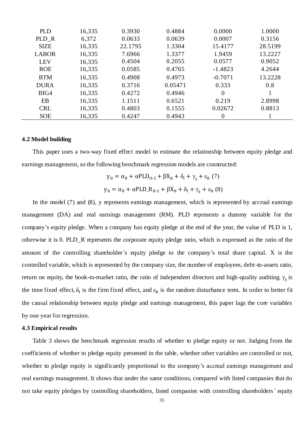| <b>PLD</b>   | 16,335 | 0.3930  | 0.4884  | 0.0000    | 1.0000  |
|--------------|--------|---------|---------|-----------|---------|
| PLD_R        | 6,372  | 0.0633  | 0.0639  | 0.0007    | 0.3156  |
| <b>SIZE</b>  | 16,335 | 22.1795 | 1.3304  | 15.4177   | 28.5199 |
| <b>LABOR</b> | 16,335 | 7.6966  | 1.3377  | 1.9459    | 13.2227 |
| <b>LEV</b>   | 16,335 | 0.4504  | 0.2055  | 0.0577    | 0.9052  |
| <b>ROE</b>   | 16,335 | 0.0585  | 0.4765  | $-1.4823$ | 4.2644  |
| <b>BTM</b>   | 16,335 | 0.4908  | 0.4973  | $-0.7071$ | 13.2228 |
| <b>DURA</b>  | 16,335 | 0.3716  | 0.05471 | 0.333     | 0.8     |
| BIG4         | 16,335 | 0.4272  | 0.4946  | $\theta$  |         |
| EB           | 16,335 | 1.1511  | 0.6521  | 0.219     | 2.8998  |
| <b>CRL</b>   | 16,335 | 0.4803  | 0.1555  | 0.02672   | 0.8813  |
| <b>SOE</b>   | 16,335 | 0.4247  | 0.4943  | 0         |         |

#### <span id="page-35-0"></span>**4.2 Model building**

This paper uses a two-way fixed effect model to estimate the relationship between equity pledge and earnings management, so the following benchmark regression models are constructed:

$$
y_{it} = \alpha_0 + \alpha PLD_{it-1} + \beta X_{it} + \delta_i + \gamma_t + \varepsilon_{it} (7)
$$
  

$$
y_{it} = \alpha_0 + \alpha PLD_R_{it-1} + \beta X_{it} + \delta_i + \gamma_t + \varepsilon_{it} (8)
$$

In the model (7) and (8), y represents earnings management, which is represented by accrual earnings management (DA) and real earnings management (RM). PLD represents a dummy variable for the company's equity pledge. When a company has equity pledge at the end of the year, the value of PLD is 1, otherwise it is 0. PLD\_R represents the corporate equity pledge ratio, which is expressed as the ratio of the amount of the controlling shareholder's equity pledge to the company's total share capital. X is the controlled variable, which is represented by the company size, the number of employees, debt-to-assets ratio, return on equity, the book-to-market ratio, the ratio of independent directors and high-quality auditing.  $\gamma_t$  is the time fixed effect,  $\delta_i$  is the firm fixed effect, and  $\varepsilon_{it}$  is the random disturbance term. In order to better fit the causal relationship between equity pledge and earnings management, this paper lags the core variables by one year for regression.

#### <span id="page-35-1"></span>**4.3 Empirical results**

Table 3 shows the benchmark regression results of whether to pledge equity or not. Judging from the coefficients of whether to pledge equity presented in the table, whether other variables are controlled or not, whether to pledge equity is significantly proportional to the company's accrual earnings management and real earnings management. It shows that under the same conditions, compared with listed companies that do not take equity pledges by controlling shareholders, listed companies with controlling shareholders' equity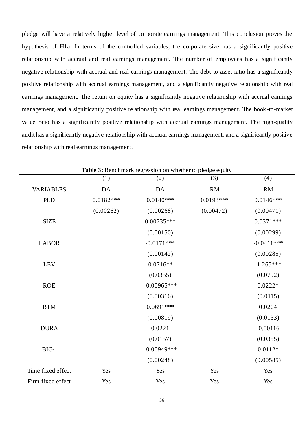pledge will have a relatively higher level of corporate earnings management. This conclusion proves the hypothesis of H1a. In terms of the controlled variables, the corporate size has a significantly positive relationship with accrual and real earnings management. The number of employees has a significantly negative relationship with accrual and real earnings management. The debt-to-asset ratio has a significantly positive relationship with accrual earnings management, and a significantly negative relationship with real earnings management. The return on equity has a significantly negative relationship with accrual earnings management, and a significantly positive relationship with real earnings management. The book -to-market value ratio has a significantly positive relationship with accrual earnings management. The high-quality audit has a significantly negative relationship with accrual earnings management, and a significantly positive relationship with real earnings management.

|                   | (1)         | <b>Table 5:</b> Benchmark regression on whether to pledge equity<br>(2) | (3)         | (4)          |
|-------------------|-------------|-------------------------------------------------------------------------|-------------|--------------|
| <b>VARIABLES</b>  | DA          | DA                                                                      | RM          | <b>RM</b>    |
| <b>PLD</b>        | $0.0182***$ | $0.0140***$                                                             | $0.0193***$ | $0.0146***$  |
|                   | (0.00262)   | (0.00268)                                                               | (0.00472)   | (0.00471)    |
| <b>SIZE</b>       |             | $0.00735***$                                                            |             | $0.0371***$  |
|                   |             | (0.00150)                                                               |             | (0.00299)    |
| <b>LABOR</b>      |             | $-0.0171$ ***                                                           |             | $-0.0411***$ |
|                   |             | (0.00142)                                                               |             | (0.00285)    |
| <b>LEV</b>        |             | $0.0716**$                                                              |             | $-1.265***$  |
|                   |             | (0.0355)                                                                |             | (0.0792)     |
| <b>ROE</b>        |             | $-0.00965***$                                                           |             | $0.0222*$    |
|                   |             | (0.00316)                                                               |             | (0.0115)     |
| <b>BTM</b>        |             | $0.0691***$                                                             |             | 0.0204       |
|                   |             | (0.00819)                                                               |             | (0.0133)     |
| <b>DURA</b>       |             | 0.0221                                                                  |             | $-0.00116$   |
|                   |             | (0.0157)                                                                |             | (0.0355)     |
| BIG4              |             | $-0.00949***$                                                           |             | $0.0112*$    |
|                   |             | (0.00248)                                                               |             | (0.00585)    |
| Time fixed effect | Yes         | Yes                                                                     | Yes         | Yes          |
| Firm fixed effect | Yes         | Yes                                                                     | Yes         | Yes          |

**Table 3:** Benchmark regression on whether to pledge equity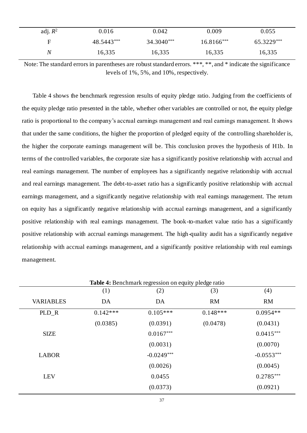| adj. $R^2$ | 0.016      | 0.042      | 0.009      | 0.055      |
|------------|------------|------------|------------|------------|
|            | 48.5443*** | 34.3040*** | 16.8166*** | 65.3229*** |
| N          | 16,335     | 16,335     | 16,335     | 16,335     |

Note: The standard errors in parentheses are robust standard errors. \*\*\*, \*\*, and \* indicate the significance levels of 1%, 5%, and 10%, respectively.

Table 4 shows the benchmark regression results of equity pledge ratio. Judging from the coefficients of the equity pledge ratio presented in the table, whether other variables are controlled or not, the equity pledge ratio is proportional to the company's accrual earnings management and real earnings management. It shows that under the same conditions, the higher the proportion of pledged equity of the controlling shareholder is, the higher the corporate earnings management will be. This conclusion proves the hypothesis of H1b. In terms of the controlled variables, the corporate size has a significantly positive relationship with accrual and real earnings management. The number of employees has a significantly negative relationship with accrual and real earnings management. The debt-to-asset ratio has a significantly positive relationship with accrual earnings management, and a significantly negative relationship with real earnings management. The return on equity has a significantly negative relationship with accrual earnings management, and a significantly positive relationship with real earnings management. The book-to-market value ratio has a significantly positive relationship with accrual earnings management. The high-quality audit has a significantly negative relationship with accrual earnings management, and a significantly positive relationship with real earnings management.

|                  | (1)        | (2)          | (3)        | (4)          |
|------------------|------------|--------------|------------|--------------|
| <b>VARIABLES</b> | DA         | DA           | <b>RM</b>  | <b>RM</b>    |
| $PLD_R$          | $0.142***$ | $0.105***$   | $0.148***$ | $0.0954**$   |
|                  | (0.0385)   | (0.0391)     | (0.0478)   | (0.0431)     |
| <b>SIZE</b>      |            | $0.0167***$  |            | $0.0415***$  |
|                  |            | (0.0031)     |            | (0.0070)     |
| <b>LABOR</b>     |            | $-0.0249***$ |            | $-0.0553***$ |
|                  |            | (0.0026)     |            | (0.0045)     |
| <b>LEV</b>       |            | 0.0455       |            | $0.2785***$  |
|                  |            | (0.0373)     |            | (0.0921)     |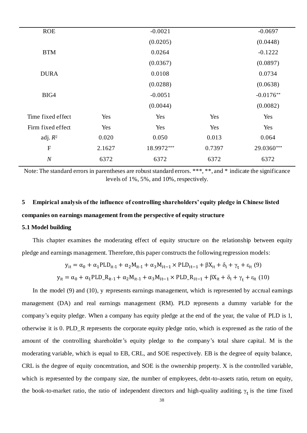| <b>ROE</b>        |        | $-0.0021$  |        | $-0.0697$   |
|-------------------|--------|------------|--------|-------------|
|                   |        | (0.0205)   |        | (0.0448)    |
| <b>BTM</b>        |        | 0.0264     |        | $-0.1222$   |
|                   |        | (0.0367)   |        | (0.0897)    |
| <b>DURA</b>       |        | 0.0108     |        | 0.0734      |
|                   |        | (0.0288)   |        | (0.0638)    |
| BIG4              |        | $-0.0051$  |        | $-0.0176**$ |
|                   |        | (0.0044)   |        | (0.0082)    |
| Time fixed effect | Yes    | Yes        | Yes    | Yes         |
| Firm fixed effect | Yes    | Yes        | Yes    | Yes         |
| adj. $R^2$        | 0.020  | 0.050      | 0.013  | 0.064       |
| $\mathbf F$       | 2.1627 | 18.9972*** | 0.7397 | 29.0360***  |
| N                 | 6372   | 6372       | 6372   | 6372        |
|                   |        |            |        |             |

Note: The standard errors in parentheses are robust standard errors. \*\*\*, \*\*, and \* indicate the significance levels of 1%, 5%, and 10%, respectively.

# <span id="page-38-0"></span>**5 Empirical analysis of the influence of controlling shareholders' equity pledge in Chinese listed companies on earnings management from the perspective of equity structure**

#### <span id="page-38-1"></span>**5.1 Model building**

This chapter examines the moderating effect of equity structure on the relationship between equity pledge and earnings management. Therefore, this paper constructs the following regression models:

$$
y_{it} = \alpha_0 + \alpha_1 PLD_{it-1} + \alpha_2 M_{it-1} + \alpha_3 M_{it-1} \times PLD_{it-1} + \beta X_{it} + \delta_i + \gamma_t + \varepsilon_{it} (9)
$$
  

$$
y_{it} = \alpha_0 + \alpha_1 PLD_{ik-1} + \alpha_2 M_{it-1} + \alpha_3 M_{it-1} \times PLD_{ik-1} + \beta X_{it} + \delta_i + \gamma_t + \varepsilon_{it} (10)
$$

In the model (9) and (10), y represents earnings management, which is represented by accrual earnings management (DA) and real earnings management (RM). PLD represents a dummy variable for the company's equity pledge. When a company has equity pledge at the end of the year, the value of PLD is 1, otherwise it is 0. PLD\_R represents the corporate equity pledge ratio, which is expressed as the ratio of the amount of the controlling shareholder's equity pledge to the company's total share capital. M is the moderating variable, which is equal to EB, CRL, and SOE respectively. EB is the degree of equity balance, CRL is the degree of equity concentration, and SOE is the ownership property. X is the controlled variable, which is represented by the company size, the number of employees, debt-to-assets ratio, return on equity, the book-to-market ratio, the ratio of independent directors and high-quality auditing.  $\gamma_t$  is the time fixed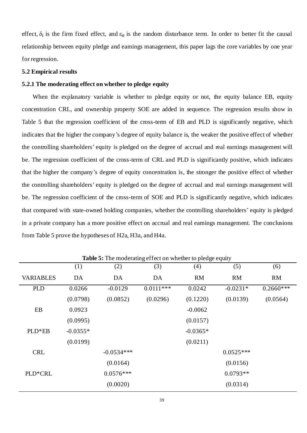effect,  $\delta_i$  is the firm fixed effect, and  $\varepsilon_{it}$  is the random disturbance term. In order to better fit the causal relationship between equity pledge and earnings management, this paper lags the core variables by one year for regression.

#### <span id="page-39-0"></span>**5.2 Empirical results**

#### <span id="page-39-1"></span>**5.2.1 The moderating effect on whether to pledge equity**

When the explanatory variable is whether to pledge equity or not, the equity balance EB, equity concentration CRL, and ownership property SOE are added in sequence. The regression results show in Table 5 that the regression coefficient of the cross-term of EB and PLD is significantly negative, which indicates that the higher the company's degree of equity balance is, the weaker the positive effect of whether the controlling shareholders' equity is pledged on the degree of accrual and real earnings management will be. The regression coefficient of the cross-term of CRL and PLD is significantly positive, which indicates that the higher the company's degree of equity concentration is, the stronger the positive effect of whether the controlling shareholders' equity is pledged on the degree of accrual and real earnings management will be. The regression coefficient of the cross-term of SOE and PLD is significantly negative, which indicates that compared with state-owned holding companies, whether the controlling shareholders' equity is pledged in a private company has a more positive effect on accrual and real earnings management. The conclusions from Table 5 prove the hypotheses of H2a, H3a, and H4a.

| <b>Table 5:</b> The moderating effect on whether to pledge equity |            |              |             |            |             |             |  |
|-------------------------------------------------------------------|------------|--------------|-------------|------------|-------------|-------------|--|
|                                                                   | (1)        | (2)          | (3)         | (4)        | (5)         | (6)         |  |
| <b>VARIABLES</b>                                                  | DA         | DA           | DA          | <b>RM</b>  | <b>RM</b>   | RM          |  |
| <b>PLD</b>                                                        | 0.0266     | $-0.0129$    | $0.0111***$ | 0.0242     | $-0.0231*$  | $0.2660***$ |  |
|                                                                   | (0.0798)   | (0.0852)     | (0.0296)    | (0.1220)   | (0.0139)    | (0.0564)    |  |
| EB                                                                | 0.0923     |              |             | $-0.0062$  |             |             |  |
|                                                                   | (0.0995)   |              |             | (0.0157)   |             |             |  |
| PLD*EB                                                            | $-0.0355*$ |              |             | $-0.0365*$ |             |             |  |
|                                                                   | (0.0199)   |              |             | (0.0211)   |             |             |  |
| <b>CRL</b>                                                        |            | $-0.0534***$ |             |            | $0.0525***$ |             |  |
|                                                                   |            | (0.0164)     |             |            | (0.0156)    |             |  |
| PLD*CRL                                                           |            | $0.0576***$  |             |            | $0.0793**$  |             |  |
|                                                                   |            | (0.0020)     |             |            | (0.0314)    |             |  |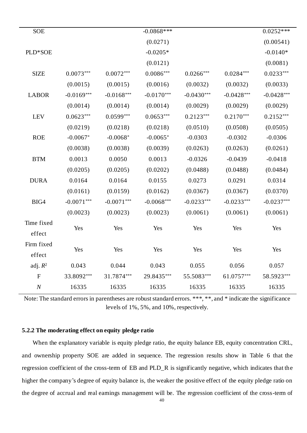| <b>SOE</b>   | $-0.0868$ ***<br>$0.0252***$ |              |              |              |              |              |  |
|--------------|------------------------------|--------------|--------------|--------------|--------------|--------------|--|
|              |                              |              | (0.0271)     |              |              | (0.00541)    |  |
| PLD*SOE      |                              |              | $-0.0205*$   |              |              | $-0.0140*$   |  |
|              |                              |              | (0.0121)     |              |              | (0.0081)     |  |
| <b>SIZE</b>  | $0.0073***$                  | $0.0072***$  | $0.0086***$  | $0.0266***$  | $0.0284***$  | $0.0233***$  |  |
|              | (0.0015)                     | (0.0015)     | (0.0016)     | (0.0032)     | (0.0032)     | (0.0033)     |  |
| <b>LABOR</b> | $-0.0169***$                 | $-0.0168***$ | $-0.0170***$ | $-0.0430***$ | $-0.0428***$ | $-0.0428***$ |  |
|              | (0.0014)                     | (0.0014)     | (0.0014)     | (0.0029)     | (0.0029)     | (0.0029)     |  |
| LEV          | $0.0623***$                  | $0.0599***$  | $0.0653***$  | $0.2123***$  | $0.2170***$  | $0.2152***$  |  |
|              | (0.0219)                     | (0.0218)     | (0.0218)     | (0.0510)     | (0.0508)     | (0.0505)     |  |
| <b>ROE</b>   | $-0.0067*$                   | $-0.0068*$   | $-0.0065*$   | $-0.0303$    | $-0.0302$    | $-0.0306$    |  |
|              | (0.0038)                     |              | (0.0039)     | (0.0263)     | (0.0263)     | (0.0261)     |  |
| <b>BTM</b>   | 0.0013                       | 0.0050       | 0.0013       | $-0.0326$    | $-0.0439$    | $-0.0418$    |  |
|              | (0.0205)                     | (0.0205)     | (0.0202)     | (0.0488)     | (0.0488)     | (0.0484)     |  |
| <b>DURA</b>  | 0.0164                       | 0.0164       | 0.0155       | 0.0273       | 0.0291       | 0.0314       |  |
|              | (0.0161)                     | (0.0159)     | (0.0162)     | (0.0367)     | (0.0367)     | (0.0370)     |  |
| BIG4         | $-0.0071***$                 | $-0.0071***$ | $-0.0068***$ | $-0.0233***$ | $-0.0233***$ | $-0.0237***$ |  |
|              | (0.0023)                     | (0.0023)     | (0.0023)     | (0.0061)     | (0.0061)     | (0.0061)     |  |
| Time fixed   | Yes                          | Yes          | Yes          | Yes          | Yes          | Yes          |  |
| effect       |                              |              |              |              |              |              |  |
| Firm fixed   | Yes                          | Yes          | Yes          | Yes          | Yes          | Yes          |  |
| effect       |                              |              |              |              |              |              |  |
| adj. $R^2$   | 0.043                        | 0.044        | 0.043        | 0.055        | 0.056        | 0.057        |  |
| ${\bf F}$    | 33.8092***                   | 31.7874***   | 29.8435***   | 55.5083***   | 61.0757***   | 58.5923***   |  |
| $\cal N$     | 16335                        | 16335        | 16335        | 16335        | 16335        | 16335        |  |

Note: The standard errors in parentheses are robust standard errors. \*\*\*, \*\*, and \* indicate the significance levels of 1%, 5%, and 10%, respectively.

# <span id="page-40-0"></span>**5.2.2 The moderating effect on equity pledge ratio**

When the explanatory variable is equity pledge ratio, the equity balance EB, equity concentration CRL, and ownership property SOE are added in sequence. The regression results show in Table 6 that the regression coefficient of the cross-term of EB and PLD\_R is significantly negative, which indicates that the higher the company's degree of equity balance is, the weaker the positive effect of the equity pledge ratio on the degree of accrual and real earnings management will be. The regression coefficient of the cross-term of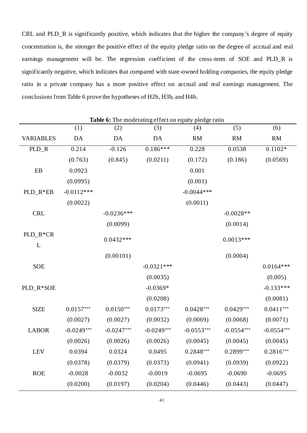CRL and PLD\_R is significantly positive, which indicates that the higher the company's degree of equity concentration is, the stronger the positive effect of the equity pledge ratio on the degree of accrual and real earnings management will be. The regression coefficient of the cross-term of SOE and PLD\_R is significantly negative, which indicates that compared with state-owned holding companies, the equity pledge ratio in a private company has a more positive effect on accrual and real earnings management. The conclusions from Table 6 prove the hypotheses of H2b, H3b, and H4b.

| <b>Table 6:</b> The moderating effect on equity pledge ratio |              |              |              |               |              |              |
|--------------------------------------------------------------|--------------|--------------|--------------|---------------|--------------|--------------|
|                                                              | (1)          | (2)          | (3)          | (4)           | (5)          | (6)          |
| <b>VARIABLES</b>                                             | DA           | DA           | DA           | <b>RM</b>     | <b>RM</b>    | <b>RM</b>    |
| PLD_R                                                        | 0.214        | $-0.126$     | $0.186***$   | 0.228         | 0.0538       | $0.1102*$    |
|                                                              | (0.763)      | (0.845)      | (0.0211)     | (0.172)       | (0.186)      | (0.0569)     |
| EB                                                           | 0.0923       |              |              | 0.001         |              |              |
|                                                              | (0.0995)     |              |              | (0.001)       |              |              |
| PLD_R*EB                                                     | $-0.0112***$ |              |              | $-0.0044$ *** |              |              |
|                                                              | (0.0022)     |              |              | (0.0011)      |              |              |
| <b>CRL</b>                                                   |              | $-0.0236***$ |              |               | $-0.0028**$  |              |
|                                                              |              | (0.0099)     |              |               | (0.0014)     |              |
| PLD_R*CR                                                     |              | $0.0432***$  |              |               | $0.0013***$  |              |
| L                                                            |              |              |              |               |              |              |
|                                                              |              | (0.00101)    |              |               | (0.0004)     |              |
| <b>SOE</b>                                                   |              |              | $-0.0321***$ |               |              | $0.0164***$  |
|                                                              |              |              | (0.0035)     |               |              | (0.005)      |
| PLD_R*SOE                                                    |              |              | $-0.0369*$   |               |              | $-0.133***$  |
|                                                              |              |              | (0.0208)     |               |              | (0.0081)     |
| <b>SIZE</b>                                                  | $0.0157***$  | $0.0150***$  | $0.0173***$  | $0.0428***$   | $0.0429***$  | $0.0411***$  |
|                                                              | (0.0027)     | (0.0027)     | (0.0032)     | (0.0069)      | (0.0068)     | (0.0071)     |
| <b>LABOR</b>                                                 | $-0.0249***$ | $-0.0247***$ | $-0.0249***$ | $-0.0553***$  | $-0.0554***$ | $-0.0554***$ |
|                                                              | (0.0026)     | (0.0026)     | (0.0026)     | (0.0045)      | (0.0045)     | (0.0045)     |
| <b>LEV</b>                                                   | 0.0394       | 0.0324       | 0.0495       | $0.2848***$   | $0.2899***$  | $0.2816***$  |
|                                                              | (0.0378)     | (0.0379)     | (0.0373)     | (0.0941)      | (0.0939)     | (0.0922)     |
| <b>ROE</b>                                                   | $-0.0028$    | $-0.0032$    | $-0.0019$    | $-0.0695$     | $-0.0690$    | $-0.0695$    |
|                                                              | (0.0200)     | (0.0197)     | (0.0204)     | (0.0446)      | (0.0443)     | (0.0447)     |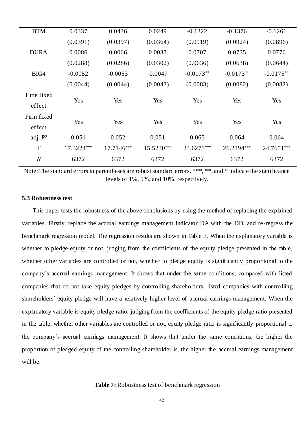| <b>BTM</b>       | 0.0337     | 0.0436     | 0.0249     | $-0.1322$   | $-0.1376$   | $-0.1261$   |  |
|------------------|------------|------------|------------|-------------|-------------|-------------|--|
|                  | (0.0391)   | (0.0397)   | (0.0364)   | (0.0919)    | (0.0924)    | (0.0896)    |  |
| <b>DURA</b>      | 0.0086     | 0.0066     | 0.0037     | 0.0707      | 0.0735      | 0.0776      |  |
|                  | (0.0288)   | (0.0286)   | (0.0302)   | (0.0636)    | (0.0638)    | (0.0644)    |  |
| BIG4             | $-0.0052$  | $-0.0053$  | $-0.0047$  | $-0.0173**$ | $-0.0173**$ | $-0.0175**$ |  |
|                  | (0.0044)   | (0.0044)   | (0.0043)   | (0.0083)    | (0.0082)    | (0.0082)    |  |
| Time fixed       |            |            |            |             |             |             |  |
| effect           | Yes        | Yes        | Yes        | Yes         | Yes         | Yes         |  |
| Firm fixed       |            |            |            |             |             |             |  |
| effect           | Yes        | Yes        | Yes        | Yes         | Yes         | Yes         |  |
| adj. $R^2$       | 0.051      | 0.052      | 0.051      | 0.065       | 0.064       | 0.064       |  |
| $\mathbf{F}$     | 17.3224*** | 17.7146*** | 15.5230*** | 24.6271***  | 26.2194***  | 24.7651***  |  |
| $\boldsymbol{N}$ | 6372       | 6372       | 6372       | 6372        | 6372        | 6372        |  |
|                  |            |            |            |             |             |             |  |

Note: The standard errors in parentheses are robust standard errors. \*\*\*, \*\*, and \* indicate the significance levels of 1%, 5%, and 10%, respectively.

#### <span id="page-42-0"></span>**5.3 Robustness test**

This paper tests the robustness of the above conclusions by using the method of replacing the explained variables. Firstly, replace the accrual earnings management indicator DA with the DD, and re-regress the benchmark regression model. The regression results are shown in Table 7. When the explanatory variable is whether to pledge equity or not, judging from the coefficients of the equity pledge presented in the table, whether other variables are controlled or not, whether to pledge equity is significantly proportional to the company's accrual earnings management. It shows that under the same conditions, compared with listed companies that do not take equity pledges by controlling shareholders, listed companies with contro lling shareholders' equity pledge will have a relatively higher level of accrual earnings management. When the explanatory variable is equity pledge ratio, judging from the coefficients of the equity pledge ratio presented in the table, whether other variables are controlled or not, equity pledge ratio is significantly proportional to the company's accrual earnings management. It shows that under the same conditions, the higher the proportion of pledged equity of the controlling shareholder is, the higher the accrual earnings management will be.

#### **Table 7:** Robustness test of benchmark regression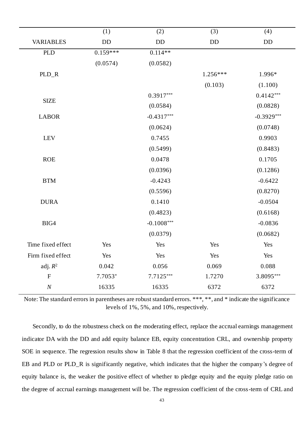|                      | (1)        | (2)          | (3)        | (4)          |
|----------------------|------------|--------------|------------|--------------|
| <b>VARIABLES</b>     | <b>DD</b>  | $\rm DD$     | DD         | <b>DD</b>    |
| <b>PLD</b>           | $0.159***$ | $0.114**$    |            |              |
|                      | (0.0574)   | (0.0582)     |            |              |
| PLD_R                |            |              | $1.256***$ | 1.996*       |
|                      |            |              | (0.103)    | (1.100)      |
| <b>SIZE</b>          |            | $0.3917***$  |            | $0.4142***$  |
|                      |            | (0.0584)     |            | (0.0828)     |
| <b>LABOR</b>         |            | $-0.4317***$ |            | $-0.3929***$ |
|                      |            | (0.0624)     |            | (0.0748)     |
| <b>LEV</b>           |            | 0.7455       |            | 0.9903       |
|                      |            | (0.5499)     |            | (0.8483)     |
| <b>ROE</b>           |            | 0.0478       |            | 0.1705       |
|                      |            | (0.0396)     |            | (0.1286)     |
| $\operatorname{BTM}$ |            | $-0.4243$    |            | $-0.6422$    |
|                      |            | (0.5596)     |            | (0.8270)     |
| <b>DURA</b>          |            | 0.1410       |            | $-0.0504$    |
|                      |            | (0.4823)     |            | (0.6168)     |
| BIG4                 |            | $-0.1008***$ |            | $-0.0836$    |
|                      |            | (0.0379)     |            | (0.0682)     |
| Time fixed effect    | Yes        | Yes          | Yes        | Yes          |
| Firm fixed effect    | Yes        | Yes          | Yes        | Yes          |
| adj. $R^2$           | 0.042      | 0.056        | 0.069      | 0.088        |
| $\mathbf F$          | 7.7053*    | $7.7125***$  | 1.7270     | 3.8095***    |
| $\cal N$             | 16335      | 16335        | 6372       | 6372         |

Note: The standard errors in parentheses are robust standard errors. \*\*\*, \*\*, and \* indicate the significance levels of 1%, 5%, and 10%, respectively.

Secondly, to do the robustness check on the moderating effect, replace the accrual earnings management indicator DA with the DD and add equity balance EB, equity concentration CRL, and ownership property SOE in sequence. The regression results show in Table 8 that the regression coefficient of the cross-term of EB and PLD or PLD\_R is significantly negative, which indicates that the higher the company's degree of equity balance is, the weaker the positive effect of whether to pledge equity and the equity pledge ratio on the degree of accrual earnings management will be. The regression coefficient of the cross-term of CRL and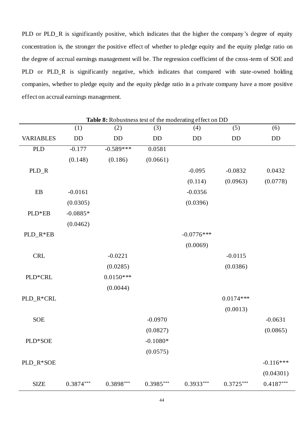PLD or PLD\_R is significantly positive, which indicates that the higher the company's degree of equity concentration is, the stronger the positive effect of whether to pledge equity and the equity pledge ratio on the degree of accrual earnings management will be. The regression coefficient of the cross-term of SOE and PLD or PLD\_R is significantly negative, which indicates that compared with state-owned holding companies, whether to pledge equity and the equity pledge ratio in a private company have a more positive effect on accrual earnings management.

| Table 8: Robustness test of the moderating effect on DD |             |             |             |              |             |             |
|---------------------------------------------------------|-------------|-------------|-------------|--------------|-------------|-------------|
|                                                         | (1)         | (2)         | (3)         | (4)          | (5)         | (6)         |
| <b>VARIABLES</b>                                        | <b>DD</b>   | DD          | DD          | DD           | DD          | <b>DD</b>   |
| <b>PLD</b>                                              | $-0.177$    | $-0.589***$ | 0.0581      |              |             |             |
|                                                         | (0.148)     | (0.186)     | (0.0661)    |              |             |             |
| PLD_R                                                   |             |             |             | $-0.095$     | $-0.0832$   | 0.0432      |
|                                                         |             |             |             | (0.114)      | (0.0963)    | (0.0778)    |
| $\mathbf{E}\mathbf{B}$                                  | $-0.0161$   |             |             | $-0.0356$    |             |             |
|                                                         | (0.0305)    |             |             | (0.0396)     |             |             |
| PLD*EB                                                  | $-0.0885*$  |             |             |              |             |             |
|                                                         | (0.0462)    |             |             |              |             |             |
| PLD_R*EB                                                |             |             |             | $-0.0776***$ |             |             |
|                                                         |             |             |             | (0.0069)     |             |             |
| <b>CRL</b>                                              |             | $-0.0221$   |             |              | $-0.0115$   |             |
|                                                         |             | (0.0285)    |             |              | (0.0386)    |             |
| PLD*CRL                                                 |             | $0.0150***$ |             |              |             |             |
|                                                         |             | (0.0044)    |             |              |             |             |
| PLD_R*CRL                                               |             |             |             |              | $0.0174***$ |             |
|                                                         |             |             |             |              | (0.0013)    |             |
| <b>SOE</b>                                              |             |             | $-0.0970$   |              |             | $-0.0631$   |
|                                                         |             |             | (0.0827)    |              |             | (0.0865)    |
| PLD*SOE                                                 |             |             | $-0.1080*$  |              |             |             |
|                                                         |             |             | (0.0575)    |              |             |             |
| PLD_R*SOE                                               |             |             |             |              |             | $-0.116***$ |
|                                                         |             |             |             |              |             | (0.04301)   |
| <b>SIZE</b>                                             | $0.3874***$ | 0.3898***   | $0.3985***$ | $0.3933***$  | $0.3725***$ | $0.4187***$ |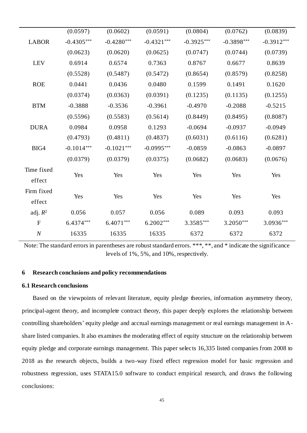|                  | (0.0597)     | (0.0602)     | (0.0591)     | (0.0804)     | (0.0762)     | (0.0839)     |  |
|------------------|--------------|--------------|--------------|--------------|--------------|--------------|--|
| <b>LABOR</b>     | $-0.4305***$ | $-0.4280***$ | $-0.4321***$ | $-0.3925***$ | $-0.3898***$ | $-0.3912***$ |  |
|                  | (0.0623)     | (0.0620)     | (0.0625)     | (0.0747)     | (0.0744)     | (0.0739)     |  |
| <b>LEV</b>       | 0.6914       | 0.6574       | 0.7363       | 0.8767       | 0.6677       | 0.8639       |  |
|                  | (0.5528)     | (0.5487)     | (0.5472)     | (0.8654)     | (0.8579)     | (0.8258)     |  |
| <b>ROE</b>       | 0.0441       | 0.0436       | 0.0480       | 0.1599       | 0.1491       | 0.1620       |  |
|                  | (0.0374)     | (0.0363)     | (0.0391)     | (0.1235)     | (0.1135)     | (0.1255)     |  |
| <b>BTM</b>       | $-0.3888$    | $-0.3536$    | $-0.3961$    | $-0.4970$    | $-0.2088$    | $-0.5215$    |  |
|                  | (0.5596)     | (0.5583)     | (0.5614)     | (0.8449)     | (0.8495)     | (0.8087)     |  |
| <b>DURA</b>      | 0.0984       | 0.0958       | 0.1293       | $-0.0694$    | $-0.0937$    | $-0.0949$    |  |
|                  | (0.4793)     | (0.4811)     | (0.4837)     | (0.6031)     | (0.6116)     | (0.6281)     |  |
| BIG4             | $-0.1014***$ | $-0.1021***$ | $-0.0995***$ | $-0.0859$    | $-0.0863$    | $-0.0897$    |  |
|                  | (0.0379)     | (0.0379)     | (0.0375)     | (0.0682)     | (0.0683)     | (0.0676)     |  |
| Time fixed       |              |              |              |              |              |              |  |
| effect           | Yes          | Yes          | Yes          | Yes          | Yes          | Yes          |  |
| Firm fixed       |              |              |              |              |              |              |  |
| effect           | Yes          | Yes          | Yes          | Yes          | Yes          | Yes          |  |
| adj. $R^2$       | 0.056        | 0.057        | 0.056        | 0.089        | 0.093        | 0.093        |  |
| $\overline{F}$   | 6.4374***    | $6.4071***$  | $6.2002***$  | 3.3585***    | 3.2050***    | 3.0936***    |  |
| $\boldsymbol{N}$ | 16335        | 16335        | 16335        | 6372         | 6372         | 6372         |  |
|                  |              |              |              |              |              |              |  |

Note: The standard errors in parentheses are robust standard errors. \*\*\*, \*\*, and \* indicate the significance levels of 1%, 5%, and 10%, respectively.

# <span id="page-45-0"></span>**6 Research conclusions and policy recommendations**

#### <span id="page-45-1"></span>**6.1 Research conclusions**

Based on the viewpoints of relevant literature, equity pledge theories, information asymmetry theory, principal-agent theory, and incomplete contract theory, this paper deeply explores the relationship between controlling shareholders' equity pledge and accrual earnings management or real earnings management in Ashare listed companies. It also examines the moderating effect of equity structure on the relationship between equity pledge and corporate earnings management. This paper selects 16,335 listed companies from 2008 to 2018 as the research objects, builds a two-way fixed effect regression model for basic regression and robustness regression, uses STATA15.0 software to conduct empirical research, and draws the following conclusions: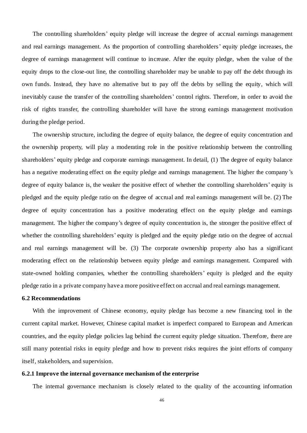The controlling shareholders' equity pledge will increase the degree of accrual earnings management and real earnings management. As the proportion of controlling shareholders' equity pledge increases, the degree of earnings management will continue to increase. After the equity pledge, when the value of the equity drops to the close-out line, the controlling shareholder may be unable to pay off the debt through its own funds. Instead, they have no alternative but to pay off the debts by selling the equity, which will inevitably cause the transfer of the controlling shareholders' control rights. Therefore, in order to avoid the risk of rights transfer, the controlling shareholder will have the strong earnings management motivation during the pledge period.

The ownership structure, including the degree of equity balance, the degree of equity concentration and the ownership property, will play a moderating role in the positive relationship between the controlling shareholders' equity pledge and corporate earnings management. In detail, (1) The degree of equity balance has a negative moderating effect on the equity pledge and earnings management. The higher the company 's degree of equity balance is, the weaker the positive effect of whether the controlling shareholders' equity is pledged and the equity pledge ratio on the degree of accrual and real earnings management will be. (2) The degree of equity concentration has a positive moderating effect on the equity pledge and earnings management. The higher the company's degree of equity concentration is, the stronger the positive effect of whether the controlling shareholders' equity is pledged and the equity pledge ratio on the degree of accrual and real earnings management will be. (3) The corporate ownership property also has a significant moderating effect on the relationship between equity pledge and earnings management. Compared with state-owned holding companies, whether the controlling shareholders' equity is pledged and the equity pledge ratio in a private company have a more positive effect on accrual and real earnings management.

#### <span id="page-46-0"></span>**6.2 Recommendations**

With the improvement of Chinese economy, equity pledge has become a new financing tool in the current capital market. However, Chinese capital market is imperfect compared to European and American countries, and the equity pledge policies lag behind the current equity pledge situation. Therefore, there are still many potential risks in equity pledge and how to prevent risks requires the joint efforts of company itself, stakeholders, and supervision.

#### <span id="page-46-1"></span>**6.2.1 Improve the internal governance mechanism of the enterprise**

The internal governance mechanism is closely related to the quality of the accounting information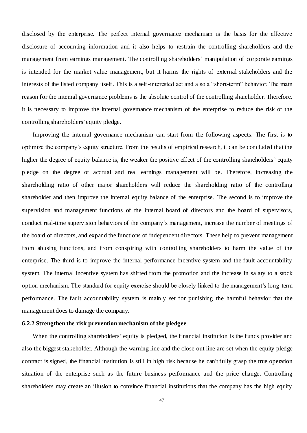disclosed by the enterprise. The perfect internal governance mechanism is the basis for the effective disclosure of accounting information and it also helps to restrain the controlling shareholders and the management from earnings management. The controlling shareholders' manipulation of corporate earnings is intended for the market value management, but it harms the rights of external stakeholders and the interests of the listed company itself. This is a self-interested act and also a "short-term" behavior. The main reason for the internal governance problems is the absolute control of the controlling shareholder. Therefore, it is necessary to improve the internal governance mechanism of the enterprise to reduce the risk of the controlling shareholders' equity pledge.

Improving the internal governance mechanism can start from the following aspects: The first is to optimize the company's equity structure. From the results of empirical research, it can be concluded that the higher the degree of equity balance is, the weaker the positive effect of the controlling shareholders' equity pledge on the degree of accrual and real earnings management will be. Therefore, increasing the shareholding ratio of other major shareholders will reduce the shareholding ratio of the controlling shareholder and then improve the internal equity balance of the enterprise. The second is to improve the supervision and management functions of the internal board of directors and the board of supervisors, conduct real-time supervision behaviors of the company's management, increase the number of meetings of the board of directors, and expand the functions of independent directors. These help to prevent management from abusing functions, and from conspiring with controlling shareholders to harm the value of the enterprise. The third is to improve the internal performance incentive system and the fault accountability system. The internal incentive system has shifted from the promotion and the increase in salary to a stock option mechanism. The standard for equity exercise should be closely linked to the management's long-term performance. The fault accountability system is mainly set for punishing the harmful behavior that the management does to damage the company.

# <span id="page-47-0"></span>**6.2.2 Strengthen the risk prevention mechanism of the pledgee**

When the controlling shareholders' equity is pledged, the financial institution is the funds provider and also the biggest stakeholder. Although the warning line and the close-out line are set when the equity pledge contract is signed, the financial institution is still in high risk because he can't fully grasp the true operation situation of the enterprise such as the future business performance and the price change. Controlling shareholders may create an illusion to convince financial institutions that the company has the high equity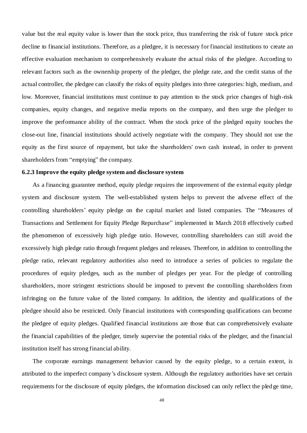value but the real equity value is lower than the stock price, thus transferring the risk of future stock price decline to financial institutions. Therefore, as a pledgee, it is necessary for financial institutions to create an effective evaluation mechanism to comprehensively evaluate the actual risks of the pledgee. According to relevant factors such as the ownership property of the pledger, the pledge rate, and the credit status of the actual controller, the pledgee can classify the risks of equity pledges into three categories: high, medium, and low. Moreover, financial institutions must continue to pay attention to the stock price changes of high-risk companies, equity changes, and negative media reports on the company, and then urge the pledger to improve the performance ability of the contract. When the stock price of the pledged equity touches the close-out line, financial institutions should actively negotiate with the company. They should not use the equity as the first source of repayment, but take the shareholders' own cash instead, in order to prevent shareholders from "emptying" the company.

# <span id="page-48-0"></span>**6.2.3 Improve the equity pledge system and disclosure system**

As a financing guarantee method, equity pledge requires the improvement of the external equity pledge system and disclosure system. The well-established system helps to prevent the adverse effect of the controlling shareholders' equity pledge on the capital market and listed companies. The "Measures of Transactions and Settlement for Equity Pledge Repurchase" implemented in March 2018 effectively curbed the phenomenon of excessively high pledge ratio. However, controlling shareholders can still avoid the excessively high pledge ratio through frequent pledges and releases. Therefore, in addition to controlling the pledge ratio, relevant regulatory authorities also need to introduce a series of policies to regulate the procedures of equity pledges, such as the number of pledges per year. For the pledge of controlling shareholders, more stringent restrictions should be imposed to prevent the controlling shareholders from infringing on the future value of the listed company. In addition, the identity and qualifications of the pledgee should also be restricted. Only financial institutions with corresponding qualifications can become the pledgee of equity pledges. Qualified financial institutions are those that can comprehensively evaluate the financial capabilities of the pledger, timely supervise the potential risks of the pledger, and the financial institution itself has strong financial ability.

The corporate earnings management behavior caused by the equity pledge, to a certain extent, is attributed to the imperfect company's disclosure system. Although the regulatory authorities have set certain requirements for the disclosure of equity pledges, the information disclosed can only reflect the pled ge time,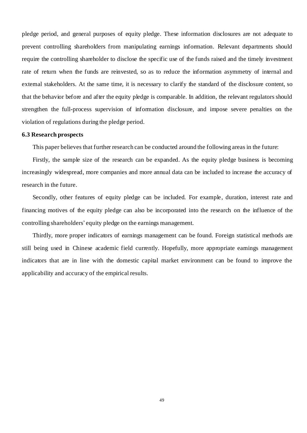pledge period, and general purposes of equity pledge. These information disclosures are not adequate to prevent controlling shareholders from manipulating earnings information. Relevant departments should require the controlling shareholder to disclose the specific use of the funds raised and the timely investment rate of return when the funds are reinvested, so as to reduce the information asymmetry of internal and external stakeholders. At the same time, it is necessary to clarify the standard of the disclosure content, so that the behavior before and after the equity pledge is comparable. In addition, the relevant regulators should strengthen the full-process supervision of information disclosure, and impose severe penalties on the violation of regulations during the pledge period.

# <span id="page-49-0"></span>**6.3 Research prospects**

This paper believes that further research can be conducted around the following areas in the future:

Firstly, the sample size of the research can be expanded. As the equity pledge business is becoming increasingly widespread, more companies and more annual data can be included to increase the accuracy of research in the future.

Secondly, other features of equity pledge can be included. For example, duration, interest rate and financing motives of the equity pledge can also be incorporated into the research on the influence of the controlling shareholders' equity pledge on the earnings management.

Thirdly, more proper indicators of earnings management can be found. Foreign statistical methods are still being used in Chinese academic field currently. Hopefully, more appropriate earnings management indicators that are in line with the domestic capital market environment can be found to improve the applicability and accuracy of the empirical results.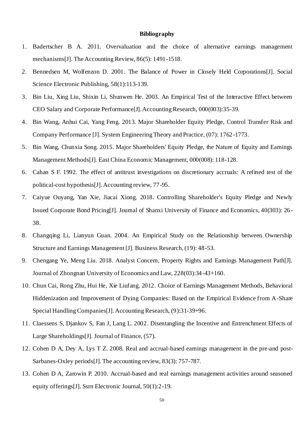#### **Bibliography**

- <span id="page-50-0"></span>1. Badertscher B A. 2011. Overvaluation and the choice of alternative earnings management mechanisms[J]. The Accounting Review, 86(5): 1491-1518.
- 2. Bennedsen M, Wolfenzon D. 2001. The Balance of Power in Closely Held Corporations[J]. Social Science Electronic Publishing, 58(1):113-139.
- 3. Bin Liu, Xing Liu, Shixin Li, Shunwen He. 2003. An Empirical Test of the Interactive Effect between CEO Salary and Corporate Performance[J]. Accounting Research, 000(003):35-39.
- 4. Bin Wang, Anhui Cai, Yang Feng. 2013. Major Shareholder Equity Pledge, Control Transfer Risk and Company Performance [J]. System Engineering Theory and Practice, (07): 1762-1773.
- 5. Bin Wang, Chunxia Song. 2015. Major Shareholders' Equity Pledge, the Nature of Equity and Earnings Management Methods[J]. East China Economic Management, 000(008): 118-128.
- 6. Cahan S F. 1992. The effect of antitrust investigations on discretionary accruals: A refined test of the political-cost hypothesis[J]. Accounting review, 77-95.
- 7. Caiyue Ouyang, Yan Xie, Jiacai Xiong. 2018. Controlling Shareholder's Equity Pledge and Newly Issued Corporate Bond Pricing[J]. Journal of Shanxi University of Finance and Economics, 40(303): 26 - 38.
- 8. Changqing Li, Lianyun Guan. 2004. An Empirical Study on the Relationship between Ownership Structure and Earnings Management [J]. Business Research, (19): 48-53.
- 9. Chengang Ye, Meng Liu. 2018. Analyst Concern, Property Rights and Earnings Management Path[J]. Journal of Zhongnan University of Economics and Law, 228(03):34-43+160.
- 10. Chun Cai, Rong Zhu, Hui He, Xie Liufang. 2012. Choice of Earnings Management Methods, Behavioral Hiddenization and Improvement of Dying Companies: Based on the Empirical Evidence from A-Share Special Handling Companies[J]. Accounting Research, (9):31-39+96.
- 11. Claessens S, Djankov S, Fan J, Lang L. 2002. Disentangling the Incentive and Entrenchment Effects of Large Shareholdings[J]. Journal of Finance, (57).
- 12. Cohen D A, Dey A, Lys T Z. 2008. Real and accrual-based earnings management in the pre-and post-Sarbanes-Oxley periods[J]. The accounting review, 83(3): 757-787.
- 13. Cohen D A, Zarowin P. 2010. Accrual-based and real earnings management activities around seasoned equity offerings[J]. Ssrn Electronic Journal, 50(1):2-19.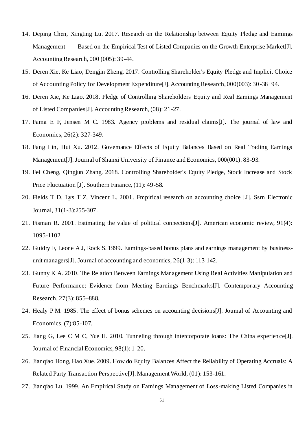- 14. Deping Chen, Xingting Lu. 2017. Research on the Relationship between Equity Pledge and Earnings Management——Based on the Empirical Test of Listed Companies on the Growth Enterprise Market[J]. Accounting Research, 000 (005): 39-44.
- 15. Deren Xie, Ke Liao, Dengjin Zheng. 2017. Controlling Shareholder's Equity Pledge and Implicit Choice of Accounting Policy for Development Expenditure[J]. Accounting Research, 000(003): 30 -38+94.
- 16. Deren Xie, Ke Liao. 2018. Pledge of Controlling Shareholders' Equity and Real Earnings Management of Listed Companies[J]. Accounting Research, (08): 21-27.
- 17. Fama E F, Jensen M C. 1983. Agency problems and residual claims[J]. The journal of law and Economics, 26(2): 327-349.
- 18. Fang Lin, Hui Xu. 2012. Governance Effects of Equity Balances Based on Real Trading Earnings Management[J]. Journal of Shanxi University of Finance and Economics, 000(001): 83-93.
- 19. Fei Cheng, Qingjun Zhang. 2018. Controlling Shareholder's Equity Pledge, Stock Increase and Stock Price Fluctuation [J]. Southern Finance, (11): 49-58.
- 20. Fields T D, Lys T Z, Vincent L. 2001. Empirical research on accounting choice [J]. Ssrn Electronic Journal, 31(1-3):255-307.
- 21. Fisman R. 2001. Estimating the value of political connections[J]. American economic review, 91(4): 1095-1102.
- 22. Guidry F, Leone A J, Rock S. 1999. Earnings-based bonus plans and earnings management by businessunit managers[J]. Journal of accounting and economics, 26(1-3): 113-142.
- 23. Gunny K A. 2010. The Relation Between Earnings Management Using Real Activities Manipulation and Future Performance: Evidence from Meeting Earnings Benchmarks[J]. Contemporary Accounting Research, 27(3): 855–888.
- 24. Healy P M. 1985. The effect of bonus schemes on accounting decisions[J]. Journal of Accounting and Economics, (7):85-107.
- 25. Jiang G, Lee C M C, Yue H. 2010. Tunneling through intercorporate loans: The China experien ce[J]. Journal of Financial Economics, 98(1): 1-20.
- 26. Jianqiao Hong, Hao Xue. 2009. How do Equity Balances Affect the Reliability of Operating Accruals: A Related Party Transaction Perspective[J]. Management World, (01): 153-161.
- 27. Jianqiao Lu. 1999. An Empirical Study on Earnings Management of Loss-making Listed Companies in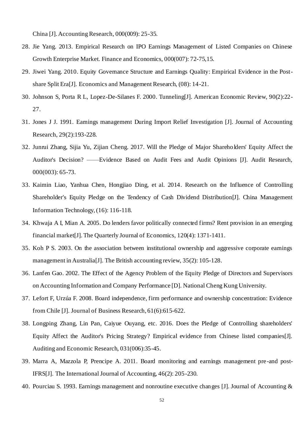China [J]. Accounting Research, 000(009): 25-35.

- 28. Jie Yang. 2013. Empirical Research on IPO Earnings Management of Listed Companies on Chinese Growth Enterprise Market. Finance and Economics, 000(007): 72-75,15.
- 29. Jiwei Yang. 2010. Equity Governance Structure and Earnings Quality: Empirical Evidence in the Postshare Split Era[J]. Economics and Management Research, (08): 14-21.
- 30. Johnson S, Porta R L, Lopez-De-Silanes F. 2000. Tunneling[J]. American Economic Review, 90(2):22- 27.
- 31. Jones J J. 1991. Earnings management During Import Relief Investigation [J]. Journal of Accounting Research, 29(2):193-228.
- 32. Junrui Zhang, Sijia Yu, Zijian Cheng. 2017. Will the Pledge of Major Shareholders' Equity Affect the Auditor's Decision? ——Evidence Based on Audit Fees and Audit Opinions [J]. Audit Research, 000(003): 65-73.
- 33. Kaimin Liao, Yanhua Chen, Hongjiao Ding, et al. 2014. Research on the Influence of Controlling Shareholder's Equity Pledge on the Tendency of Cash Dividend Distribution[J]. China Management Information Technology, (16): 116-118.
- 34. Khwaja A I, Mian A. 2005. Do lenders favor politically connected firms? Rent provision in an emerging financial market[J]. The Quarterly Journal of Economics, 120(4): 1371-1411.
- 35. Koh P S. 2003. On the association between institutional ownership and aggressive corporate earnings management in Australia[J]. The British accounting review, 35(2): 105-128.
- 36. Lanfen Gao. 2002. The Effect of the Agency Problem of the Equity Pledge of Directors and Supervisors on Accounting Information and Company Performance [D]. National Cheng Kung University.
- 37. Lefort F, Urzúa F. 2008. Board independence, firm performance and ownership concentration: Evidence from Chile [J]. Journal of Business Research, 61(6):615-622.
- 38. Longping Zhang, Lin Pan, Caiyue Ouyang, etc. 2016. Does the Pledge of Controlling shareholders' Equity Affect the Auditor's Pricing Strategy? Empirical evidence from Chinese listed companies[J]. Auditing and Economic Research, 031(006):35-45.
- 39. Marra A, Mazzola P, Prencipe A. 2011. Board monitoring and earnings management pre -and post-IFRS[J]. The International Journal of Accounting, 46(2): 205-230.
- 40. Pourciau S. 1993. Earnings management and nonroutine executive changes [J]. Journal of Accounting &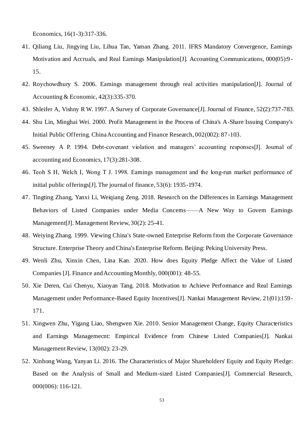Economics, 16(1-3):317-336.

- 41. Qiliang Liu, Jingying Liu, Lihua Tan, Yaman Zhang. 2011. IFRS Mandatory Convergence, Earnings Motivation and Accruals, and Real Earnings Manipulation<sup>[J]</sup>. Accounting Communications, 000(05):9 -15.
- 42. Roychowdhury S. 2006. Earnings management through real activities manipulation[J]. Journal of Accounting & Economic, 42(3):335-370.
- 43. Shleifer A, Vishny R W. 1997. A Survey of Corporate Governance[J]. Journal of Finance, 52(2):737 -783.
- 44. Shu Lin, Minghai Wei. 2000. Profit Management in the Process of China's A-Share Issuing Company's Initial Public Offering. China Accounting and Finance Research, 002(002): 87-103.
- 45. Sweeney A P. 1994. Debt-covenant violation and managers' accounting responses[J]. Journal of accounting and Economics, 17(3):281-308.
- 46. Teoh S H, Welch I, Wong T J. 1998. Earnings management and the long‐run market performance of initial public offerings[J]. The journal of finance, 53(6): 1935-1974.
- 47. Tingting Zhang, Yanxi Li, Weiqiang Zeng. 2018. Research on the Differences in Earnings Management Behaviors of Listed Companies under Media Concerns——A New Way to Govern Earnings Management[J]. Management Review, 30(2): 25-41.
- 48. Weiying Zhang. 1999. Viewing China's State-owned Enterprise Reform from the Corporate Governance Structure. Enterprise Theory and China's Enterprise Reform. Beijing: Peking University Press.
- 49. Wenli Zhu, Xinxin Chen, Lina Kan. 2020. How does Equity Pledge Affect the Value of Listed Companies [J]. Finance and Accounting Monthly, 000(001): 48-55.
- 50. Xie Deren, Cui Chenyu, Xiaoyan Tang. 2018. Motivation to Achieve Performance and Real Earnings Management under Performance-Based Equity Incentives[J]. Nankai Management Review, 21(01):159- 171.
- 51. Xingwen Zhu, Yigang Liao, Shengwen Xie. 2010. Senior Management Change, Equity Characteristics and Earnings Managemecnt: Empirical Evidence from Chinese Listed Companies[J]. Nankai Management Review, 13(002): 23-29.
- 52. Xinhong Wang, Yanyan Li. 2016. The Characteristics of Major Shareholders' Equity and Equity Pledge: Based on the Analysis of Small and Medium-sized Listed Companies[J]. Commercial Research, 000(006): 116-121.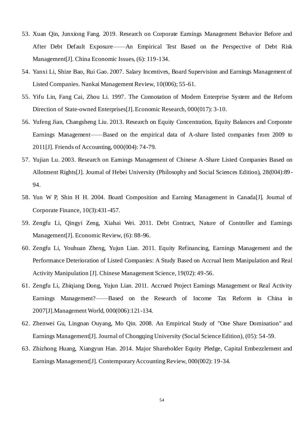- 53. Xuan Qin, Junxiong Fang. 2019. Research on Corporate Earnings Management Behavior Before and After Debt Default Exposure——An Empirical Test Based on the Perspective of Debt Risk Management[J]. China Economic Issues, (6): 119-134.
- 54. Yanxi Li, Shize Bao, Rui Gao. 2007. Salary Incentives, Board Supervision and Earnings Management of Listed Companies. Nankai Management Review, 10(006); 55-61.
- 55. Yifu Lin, Fang Cai, Zhou Li. 1997. The Connotation of Modern Enterprise System and the Reform Direction of State-owned Enterprises[J]. Economic Research, 000(017): 3-10.
- 56. Yufeng Jian, Changsheng Liu. 2013. Research on Equity Concentration, Equity Balances and Corporate Earnings Management——Based on the empirical data of A-share listed companies from 2009 to 2011[J]. Friends of Accounting, 000(004): 74-79.
- 57. Yujian Lu. 2003. Research on Earnings Management of Chinese A-Share Listed Companies Based on Allotment Rights[J]. Journal of Hebei University (Philosophy and Social Sciences Edition), 28(004):89 - 94.
- 58. Yun W P, Shin H H. 2004. Board Composition and Earning Management in Canada[J]. Journal of Corporate Finance, 10(3):431-457.
- 59. Zengfu Li, Qingyi Zeng, Xiahai Wei. 2011. Debt Contract, Nature of Controller and Earnings Management[J]. Economic Review, (6): 88-96.
- 60. Zengfu Li, Youhuan Zheng, Yujun Lian. 2011. Equity Refinancing, Earnings Management and the Performance Deterioration of Listed Companies: A Study Based on Accrual Item Manipulation and Real Activity Manipulation [J]. Chinese Management Science, 19(02): 49-56.
- 61. Zengfu Li, Zhiqiang Dong, Yujun Lian. 2011. Accrued Project Earnings Management or Real Activity Earnings Management?——Based on the Research of Income Tax Reform in China in 2007[J].Management World, 000(006):121-134.
- 62. Zhenwei Gu, Lingnan Ouyang, Mo Qin. 2008. An Empirical Study of "One Share Domination" and Earnings Management[J]. Journal of Chongqing University (Social Science Edition), (05): 54-59.
- 63. Zhizhong Huang, Xiangyun Han. 2014. Major Shareholder Equity Pledge, Capital Embezzlement and Earnings Management[J]. Contemporary Accounting Review, 000(002): 19-34.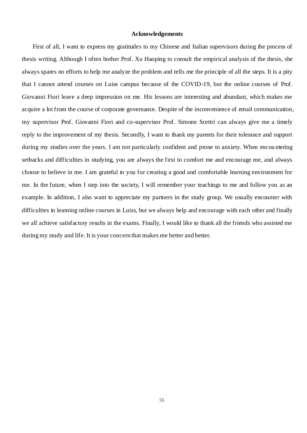#### **Acknowledgements**

<span id="page-55-0"></span>First of all, I want to express my gratitudes to my Chinese and Italian supervisors during the process of thesis writing. Although I often bother Prof. Xu Haoping to consult the empirical analysis of the thesis, she always spares no efforts to help me analyze the problem and tells me the principle of all the steps. It is a pity that I cannot attend courses on Luiss campus because of the COVID-19, but the online courses of Prof. Giovanni Fiori leave a deep impression on me. His lessons are interesting and abundant, which makes me acquire a lot from the course of corporate governance. Despite of the inconvenience of email communication, my supervisor Prof. Giovanni Fiori and co-supervisor Prof. Simone Scettri can always give me a timely reply to the improvement of my thesis. Secondly, I want to thank my parents for their tolerance and support during my studies over the years. I am not particularly confident and prone to anxiety. When encou ntering setbacks and difficulties in studying, you are always the first to comfort me and encourage me, and always choose to believe in me. I am grateful to you for creating a good and comfortable learning environment for me. In the future, when I step into the society, I will remember your teachings to me and follow you as an example. In addition, I also want to appreciate my partners in the study group. We usually encounter with difficulties in learning online courses in Luiss, but we always help and encourage with each other and finally we all achieve satisfactory results in the exams. Finally, I would like to thank all the friends who assisted me during my study and life. It is your concern that makes me better and better.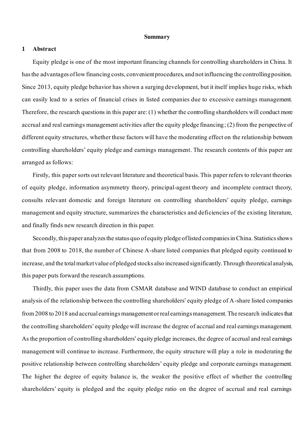# **Summary**

# **1 Abstract**

Equity pledge is one of the most important financing channels for controlling shareholders in China. It has the advantages of low financing costs, convenient procedures, and not influencing the controlling position. Since 2013, equity pledge behavior has shown a surging development, but it itself implies huge risks, which can easily lead to a series of financial crises in listed companies due to excessive earnings management. Therefore, the research questions in this paper are: (1) whether the controlling shareholders will conduct more accrual and real earnings management activities after the equity pledge financing; (2) from the perspective of different equity structures, whether these factors will have the moderating effect on the relationship between controlling shareholders' equity pledge and earnings management. The research contents of this paper are arranged as follows:

Firstly, this paper sorts out relevant literature and theoretical basis. This paper refers to relevant theories of equity pledge, information asymmetry theory, principal-agent theory and incomplete contract theory, consults relevant domestic and foreign literature on controlling shareholders' equity pledge, earnings management and equity structure, summarizes the characteristics and deficiencies of the existing literature, and finally finds new research direction in this paper.

Secondly, this paper analyzes the status quo of equity pledge of listed companies in China. Statistics shows that from 2008 to 2018, the number of Chinese A-share listed companies that pledged equity continued to increase, and the total market value of pledged stocks also increased significantly. Through theoretical analysis, this paper puts forward the research assumptions.

Thirdly, this paper uses the data from CSMAR database and WIND database to conduct an empirical analysis of the relationship between the controlling shareholders' equity pledge of A-share listed companies from 2008 to 2018 and accrual earnings management or real earnings management. The research indicates that the controlling shareholders' equity pledge will increase the degree of accrual and real earnings management. As the proportion of controlling shareholders' equity pledge increases, the degree of accrual and real earnings management will continue to increase. Furthermore, the equity structure will play a role in moderating the positive relationship between controlling shareholders' equity pledge and corporate earnings management. The higher the degree of equity balance is, the weaker the positive effect of whether the controlling shareholders' equity is pledged and the equity pledge ratio on the degree of accrual and real earnings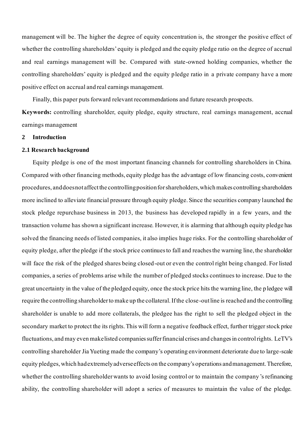management will be. The higher the degree of equity concentration is, the stronger the positive effect of whether the controlling shareholders' equity is pledged and the equity pledge ratio on the degree of accrual and real earnings management will be. Compared with state-owned holding companies, whether the controlling shareholders' equity is pledged and the equity pledge ratio in a private company have a more positive effect on accrual and real earnings management.

Finally, this paper puts forward relevant recommendations and future research prospects.

**Keywords:** controlling shareholder, equity pledge, equity structure, real earnings management, accrual earnings management

# **2 Introduction**

#### **2.1 Research background**

Equity pledge is one of the most important financing channels for controlling shareholders in China. Compared with other financing methods, equity pledge has the advantage of low financing costs, convenient procedures, and does not affect the controlling position for shareholders, which makes controlling shareholders more inclined to alleviate financial pressure through equity pledge. Since the securities company launched the stock pledge repurchase business in 2013, the business has developed rapidly in a few years, and the transaction volume has shown a significant increase. However, it is alarming that although equity pledge has solved the financing needs of listed companies, it also implies huge risks. For the controlling shareholder of equity pledge, after the pledge if the stock price continues to fall and reaches the warning line, the shareholder will face the risk of the pledged shares being closed-out or even the control right being changed. For listed companies, a series of problems arise while the number of pledged stocks continues to increase. Due to the great uncertainty in the value of the pledged equity, once the stock price hits the warning line, the p ledgee will require the controlling shareholder to make up the collateral. If the close-out line is reached and the controlling shareholder is unable to add more collaterals, the pledgee has the right to sell the pledged object in the secondary market to protect the its rights. This will form a negative feedback effect, further trigger stock price fluctuations, and may even make listed companies suffer financial crises and changes in control rights. LeTV's controlling shareholder Jia Yueting made the company's operating environment deteriorate due to large-scale equity pledges, which had extremely adverse effects on the company's operations and management. Therefore, whether the controlling shareholder wants to avoid losing control or to maintain the company 's refinancing ability, the controlling shareholder will adopt a series of measures to maintain the value of the pledge.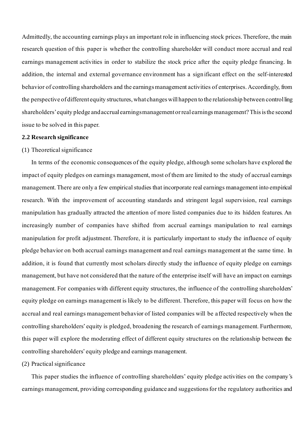Admittedly, the accounting earnings plays an important role in influencing stock prices. Therefore, the main research question of this paper is whether the controlling shareholder will conduct more accrual and real earnings management activities in order to stabilize the stock price after the equity pledge financing. In addition, the internal and external governance environment has a significant effect on the self-interested behavior of controlling shareholders and the earnings management activities of enterprises. Accordingly, from the perspective of different equity structures, what changes will happen to the relationship between controlling shareholders' equity pledge and accrual earnings management or real earnings management? This is the second issue to be solved in this paper.

# **2.2 Research significance**

#### (1) Theoretical significance

In terms of the economic consequences of the equity pledge, although some scholars have explored the impact of equity pledges on earnings management, most of them are limited to the study of accrual earnings management. There are only a few empirical studies that incorporate real earnings management into empirical research. With the improvement of accounting standards and stringent legal supervision, real earnings manipulation has gradually attracted the attention of more listed companies due to its hidden features. An increasingly number of companies have shifted from accrual earnings manipulation to real earnings manipulation for profit adjustment. Therefore, it is particularly important to study the influence of equity pledge behavior on both accrual earnings management and real earnings management at the same time. In addition, it is found that currently most scholars directly study the influence of equity pledge on earnings management, but have not considered that the nature of the enterprise itself will have an impact on earnings management. For companies with different equity structures, the influence of the controlling shareholders' equity pledge on earnings management is likely to be different. Therefore, this paper will focus on how the accrual and real earnings management behavior of listed companies will be affected respectively when the controlling shareholders' equity is pledged, broadening the research of earnings management. Furthermore, this paper will explore the moderating effect of different equity structures on the relationship between the controlling shareholders' equity pledge and earnings management.

# (2) Practical significance

This paper studies the influence of controlling shareholders' equity pledge activities on the company's earnings management, providing corresponding guidance and suggestions for the regulatory authorities and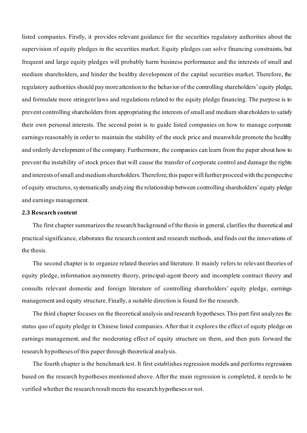listed companies. Firstly, it provides relevant guidance for the securities regulatory authorities about the supervision of equity pledges in the securities market. Equity pledges can solve financing constraints, but frequent and large equity pledges will probably harm business performance and the interests of small and medium shareholders, and hinder the healthy development of the capital securities market. Therefore, the regulatory authorities should pay more attention to the behavior of the controlling shareholders' equity pledge, and formulate more stringent laws and regulations related to the equity pledge financing. The purpose is to prevent controlling shareholders from appropriating the interests of small and medium shareholders to satisfy their own personal interests. The second point is to guide listed companies on how to manage corporate earnings reasonably in order to maintain the stability of the stock price and meanwhile promote the healthy and orderly development of the company. Furthermore, the companies can learn from the paper about how to prevent the instability of stock prices that will cause the transfer of corporate control and damage the rights and interests of small and medium shareholders. Therefore, this paper will further proceed with the perspective of equity structures, systematically analyzing the relationship between controlling shareholders' equity pledge and earnings management.

# **2.3 Research content**

The first chapter summarizes the research background of the thesis in general, clarifies the theoretical and practical significance, elaborates the research content and research methods, and finds out the innovations of the thesis.

The second chapter is to organize related theories and literature. It mainly refers to relevant theories of equity pledge, information asymmetry theory, principal-agent theory and incomplete contract theory and consults relevant domestic and foreign literature of controlling shareholders' equity pledge, earnings management and equity structure. Finally, a suitable direction is found for the research.

The third chapter focuses on the theoretical analysis and research hypotheses. This part first analyzes the status quo of equity pledge in Chinese listed companies. After that it explores the effect of equity pledge on earnings management, and the moderating effect of equity structure on them, and then puts forward the research hypotheses of this paper through theoretical analysis.

The fourth chapter is the benchmark test. It first establishes regression models and performs regressions based on the research hypotheses mentioned above. After the main regression is completed, it needs to be verified whether the research result meets the research hypotheses or not.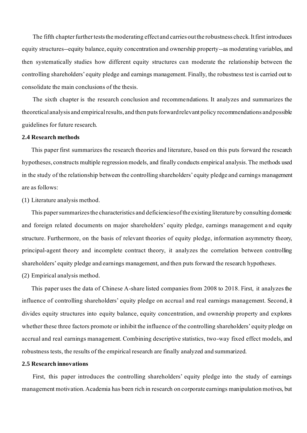The fifth chapter further tests the moderating effect and carries out the robustness check. It first introduces equity structures--equity balance, equity concentration and ownership property--as moderating variables, and then systematically studies how different equity structures can moderate the relationship between the controlling shareholders' equity pledge and earnings management. Finally, the robustness test is carried out to consolidate the main conclusions of the thesis.

The sixth chapter is the research conclusion and recommendations. It analyzes and summarizes the theoretical analysis and empirical results, and then puts forward relevant policy recommendations and possible guidelines for future research.

# **2.4 Research methods**

This paper first summarizes the research theories and literature, based on this puts forward the research hypotheses, constructs multiple regression models, and finally conducts empirical analysis. The methods used in the study of the relationship between the controlling shareholders' equity pledge and earnings management are as follows:

(1) Literature analysis method.

This paper summarizes the characteristics and deficiencies of the existing literature by consulting domestic and foreign related documents on major shareholders' equity pledge, earnings management a nd equity structure. Furthermore, on the basis of relevant theories of equity pledge, information asymmetry theory, principal-agent theory and incomplete contract theory, it analyzes the correlation between controlling shareholders' equity pledge and earnings management, and then puts forward the research hypotheses.

(2) Empirical analysis method.

This paper uses the data of Chinese A-share listed companies from 2008 to 2018. First, it analyzes the influence of controlling shareholders' equity pledge on accrual and real earnings management. Second, it divides equity structures into equity balance, equity concentration, and ownership property and explores whether these three factors promote or inhibit the influence of the controlling shareholders' equity pledge on accrual and real earnings management. Combining descriptive statistics, two-way fixed effect models, and robustness tests, the results of the empirical research are finally analyzed and summarized.

# **2.5 Research innovations**

First, this paper introduces the controlling shareholders' equity pledge into the study of earnings management motivation. Academia has been rich in research on corporate earnings manipulation motives, but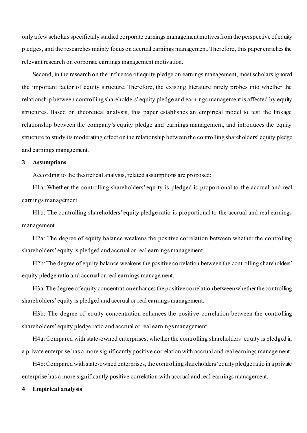only a few scholars specifically studied corporate earnings management motives from the perspective of equity pledges, and the researches mainly focus on accrual earnings management. Therefore, this paper enriches the relevant research on corporate earnings management motivation.

Second, in the research on the influence of equity pledge on earnings management, most scholars ignored the important factor of equity structure. Therefore, the existing literature rarely probes into whether the relationship between controlling shareholders' equity pledge and earnings management is affected by equity structures. Based on theoretical analysis, this paper establishes an empirical model to test the linkage relationship between the company's equity pledge and earnings management, and introduces the equity structure to study its moderating effect on the relationship between the controlling shareholders' equity pledge and earnings management.

### **3 Assumptions**

According to the theoretical analysis, related assumptions are proposed:

H1a: Whether the controlling shareholders' equity is pledged is proportional to the accrual and real earnings management.

H1b: The controlling shareholders' equity pledge ratio is proportional to the accrual and real earnings management.

H2a: The degree of equity balance weakens the positive correlation between whether the controlling shareholders' equity is pledged and accrual or real earnings management.

H2b: The degree of equity balance weakens the positive correlation between the controlling shareholders' equity pledge ratio and accrual or real earnings management.

H3a: The degree of equity concentration enhances the positive correlation between whether the controlling shareholders' equity is pledged and accrual or real earnings management.

H3b: The degree of equity concentration enhances the positive correlation between the controlling shareholders' equity pledge ratio and accrual or real earnings management.

H4a: Compared with state-owned enterprises, whether the controlling shareholders' equity is pledged in a private enterprise has a more significantly positive correlation with accrual and real earnings management.

H4b: Compared with state-owned enterprises, the controlling shareholders' equity pledge ratio in a private enterprise has a more significantly positive correlation with accrual and real earnings management.

## **4 Empirical analysis**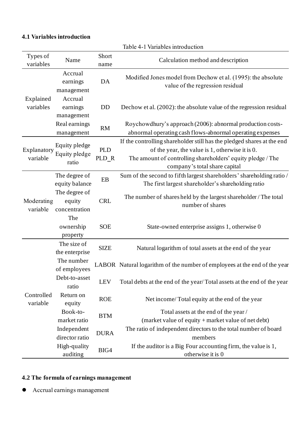# **4.1 Variables introduction**

| Types of<br>variables   | Name                                     | Short<br>name       | Calculation method and description                                                                                                                                                                                        |
|-------------------------|------------------------------------------|---------------------|---------------------------------------------------------------------------------------------------------------------------------------------------------------------------------------------------------------------------|
| Explained<br>variables  | Accrual<br>earnings<br>management        | DA                  | Modified Jones model from Dechow et al. (1995): the absolute<br>value of the regression residual                                                                                                                          |
|                         | Accrual<br>earnings<br>management        | DD                  | Dechow et al. (2002): the absolute value of the regression residual                                                                                                                                                       |
|                         | Real earnings<br>management              | RM                  | Roychowdhury's approach (2006): abnormal production costs-<br>abnormal operating cash flows-abnormal operating expenses                                                                                                   |
| Explanatory<br>variable | Equity pledge<br>Equity pledge<br>ratio  | <b>PLD</b><br>PLD_R | If the controlling shareholder still has the pledged shares at the end<br>of the year, the value is 1, otherwise it is 0.<br>The amount of controlling shareholders' equity pledge / The<br>company's total share capital |
| Moderating<br>variable  | The degree of<br>equity balance          | EB                  | Sum of the second to fifth largest shareholders' shareholding ratio /<br>The first largest shareholder's shareholding ratio                                                                                               |
|                         | The degree of<br>equity<br>concentration | <b>CRL</b>          | The number of sharesheld by the largest shareholder / The total<br>number of shares                                                                                                                                       |
|                         | The<br>ownership<br>property             | <b>SOE</b>          | State-owned enterprise assigns 1, otherwise 0                                                                                                                                                                             |
|                         | The size of<br>the enterprise            | <b>SIZE</b>         | Natural logarithm of total assets at the end of the year                                                                                                                                                                  |
|                         | The number<br>of employees               |                     | LABOR Natural logarithm of the number of employees at the end of the year                                                                                                                                                 |
|                         | Debt-to-asset<br>ratio                   | <b>LEV</b>          | Total debts at the end of the year/Total assets at the end of the year                                                                                                                                                    |
| Controlled<br>variable  | Return on<br>equity                      | <b>ROE</b>          | Net income/Total equity at the end of the year                                                                                                                                                                            |
|                         | Book-to-<br>market ratio                 | <b>BTM</b>          | Total assets at the end of the year /<br>(market value of equity + market value of net debt)                                                                                                                              |
|                         | Independent<br>director ratio            | <b>DURA</b>         | The ratio of independent directors to the total number of board<br>members                                                                                                                                                |
|                         | High-quality<br>auditing                 | BIG4                | If the auditor is a Big Four accounting firm, the value is 1,<br>otherwise it is 0                                                                                                                                        |

Table 4-1 Variables introduction

# **4.2 The formula of earnings management**

⚫ Accrual earnings management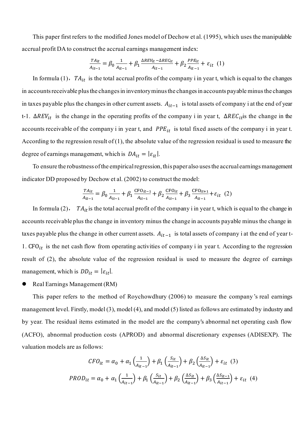This paper first refers to the modified Jones model of Dechow et al. (1995), which uses the manipulable accrual profit DA to construct the accrual earnings management index:

$$
\frac{TA_{it}}{A_{it-1}} = \beta_0 \frac{1}{A_{it-1}} + \beta_1 \frac{\Delta REV_{it} - \Delta REC_{it}}{A_{it-1}} + \beta_2 \frac{PPE_{it}}{A_{it-1}} + \varepsilon_{it} \quad (1)
$$

In formula (1),  $TA_{it}$  is the total accrual profits of the company i in year t, which is equal to the changes in accounts receivable plus the changes in inventory minus the changes in accounts payable minus the changes in taxes payable plus the changes in other current assets.  $A_{it-1}$  is total assets of company i at the end of year t-1.  $\Delta REV_{it}$  is the change in the operating profits of the company i in year t,  $\Delta REC_{it}$  is the change in the accounts receivable of the company i in year t, and  $PPE_{it}$  is total fixed assets of the company i in year t. According to the regression result of  $(1)$ , the absolute value of the regression residual is used to measure the degree of earnings management, which is  $DA_{it} = |\varepsilon_{it}|.$ 

To ensure the robustness of the empirical regression, this paper also uses the accrual earnings management indicator DD proposed by Dechow et al. (2002) to construct the model:

$$
\frac{TA_{it}}{A_{it-1}} = \beta_0 \frac{1}{A_{it-1}} + \beta_1 \frac{CFO_{it-1}}{A_{it-1}} + \beta_2 \frac{CFO_{it}}{A_{it-1}} + \beta_3 \frac{CFO_{it+1}}{A_{it-1}} + \varepsilon_{it} (2)
$$

In formula (2),  $TA_{it}$  is the total accrual profit of the company i in year t, which is equal to the change in accounts receivable plus the change in inventory minus the change in accounts payable minus the change in taxes payable plus the change in other current assets.  $A_{it-1}$  is total assets of company i at the end of year t-1.  $CFO_{it}$  is the net cash flow from operating activities of company i in year t. According to the regression result of (2), the absolute value of the regression residual is used to measure the degree of earnings management, which is  $DD_{it} = |\varepsilon_{it}|$ .

⚫ Real Earnings Management (RM)

This paper refers to the method of Roychowdhury (2006) to measure the company 's real earnings management level. Firstly, model (3), model (4), and model (5) listed as follows are estimated by industry and by year. The residual items estimated in the model are the company's abnormal net operating cash flow (ACFO), abnormal production costs (APROD) and abnormal discretionary expenses (ADISEXP). The valuation models are as follows:

$$
CFO_{it} = \alpha_0 + \alpha_1 \left(\frac{1}{A_{it-1}}\right) + \beta_1 \left(\frac{S_{it}}{A_{it-1}}\right) + \beta_2 \left(\frac{\Delta S_{it}}{A_{it-1}}\right) + \varepsilon_{it} \tag{3}
$$
  

$$
PROD_{it} = \alpha_0 + \alpha_1 \left(\frac{1}{A_{it-1}}\right) + \beta_1 \left(\frac{S_{it}}{A_{it-1}}\right) + \beta_2 \left(\frac{\Delta S_{it}}{A_{it-1}}\right) + \beta_3 \left(\frac{\Delta S_{it-1}}{A_{it-1}}\right) + \varepsilon_{it} \tag{4}
$$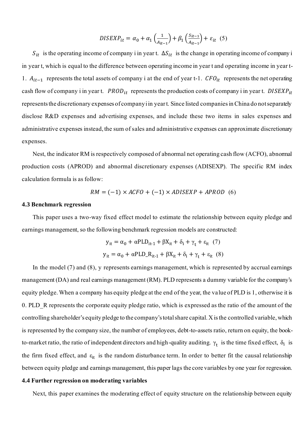$$
DISEXP_{it} = \alpha_0 + \alpha_1 \left(\frac{1}{A_{it-1}}\right) + \beta_1 \left(\frac{S_{it-1}}{A_{it-1}}\right) + \varepsilon_{it} \tag{5}
$$

 $S_{it}$  is the operating income of company i in year t.  $\Delta S_{it}$  is the change in operating income of company i in year t, which is equal to the difference between operating income in year t and operating income in year t-1.  $A_{it-1}$  represents the total assets of company i at the end of year t-1.  $CFO_{it}$  represents the net operating cash flow of company i in year t.  $PROD_{it}$  represents the production costs of company i in year t. DISEXP<sub>it</sub> represents the discretionary expenses of company i in year t. Since listed companies in China do not separately disclose R&D expenses and advertising expenses, and include these two items in sales expenses and administrative expenses instead, the sum of sales and administrative expenses can approximate discretionary expenses.

Nest, the indicator RM is respectively composed of abnormal net operating cash flow (ACFO), abnormal production costs (APROD) and abnormal discretionary expenses (ADISEXP). The specific RM index calculation formula is as follow:

$$
RM = (-1) \times ACFO + (-1) \times ADISEXP + APROD \quad (6)
$$

#### **4.3 Benchmark regression**

This paper uses a two-way fixed effect model to estimate the relationship between equity pledge and earnings management, so the following benchmark regression models are constructed:

$$
y_{it} = \alpha_0 + \alpha PLD_{it-1} + \beta X_{it} + \delta_i + \gamma_t + \varepsilon_{it} (7)
$$
  

$$
y_{it} = \alpha_0 + \alpha PLD_R_{it-1} + \beta X_{it} + \delta_i + \gamma_t + \varepsilon_{it} (8)
$$

In the model (7) and (8), y represents earnings management, which is represented by accrual earnings management (DA) and real earnings management (RM). PLD represents a dummy variable for the company's equity pledge. When a company has equity pledge at the end of the year, the value of PLD is 1, otherwise it is 0. PLD\_R represents the corporate equity pledge ratio, which is expressed as the ratio of the amount of the controlling shareholder's equity pledge to the company's total share capital. X is the controlled variable, which is represented by the company size, the number of employees, debt-to-assets ratio, return on equity, the bookto-market ratio, the ratio of independent directors and high-quality auditing.  $\gamma_t$  is the time fixed effect,  $\delta_i$  is the firm fixed effect, and  $\varepsilon_{it}$  is the random disturbance term. In order to better fit the causal relationship between equity pledge and earnings management, this paper lags the core variables by one year for regression.

# **4.4 Further regression on moderating variables**

Next, this paper examines the moderating effect of equity structure on the relationship between equity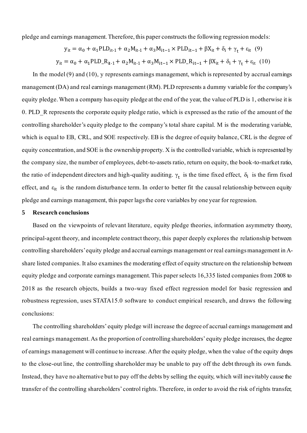pledge and earnings management. Therefore, this paper constructs the following regression models:

$$
y_{it} = \alpha_0 + \alpha_1 PLD_{it-1} + \alpha_2 M_{it-1} + \alpha_3 M_{it-1} \times PLD_{it-1} + \beta X_{it} + \delta_i + \gamma_t + \varepsilon_{it} \quad (9)
$$
  

$$
y_{it} = \alpha_0 + \alpha_1 PLD_R_{it-1} + \alpha_2 M_{it-1} + \alpha_3 M_{it-1} \times PLD_R_{it-1} + \beta X_{it} + \delta_i + \gamma_t + \varepsilon_{it} \quad (10)
$$

In the model (9) and (10), y represents earnings management, which is represented by accrual earnings management (DA) and real earnings management (RM). PLD represents a dummy variable for the company's equity pledge. When a company has equity pledge at the end of the year, the value of PLD is 1, otherwise it is 0. PLD\_R represents the corporate equity pledge ratio, which is expressed as the ratio of the amount of the controlling shareholder's equity pledge to the company's total share capital. M is the moderating variable, which is equal to EB, CRL, and SOE respectively. EB is the degree of equity balance, CRL is the degree of equity concentration, and SOE is the ownership property. X is the controlled variable, which is represented by the company size, the number of employees, debt-to-assets ratio, return on equity, the book-to-market ratio, the ratio of independent directors and high-quality auditing.  $\gamma_t$  is the time fixed effect,  $\delta_i$  is the firm fixed effect, and  $\varepsilon_{it}$  is the random disturbance term. In order to better fit the causal relationship between equity pledge and earnings management, this paper lags the core variables by one year for regression.

# **5 Research conclusions**

Based on the viewpoints of relevant literature, equity pledge theories, information asymmetry theory, principal-agent theory, and incomplete contract theory, this paper deeply explores the relationship between controlling shareholders'equity pledge and accrual earnings management or real earnings management in Ashare listed companies. It also examines the moderating effect of equity structure on the relationship between equity pledge and corporate earnings management. This paper selects 16,335 listed companies from 2008 to 2018 as the research objects, builds a two-way fixed effect regression model for basic regression and robustness regression, uses STATA15.0 software to conduct empirical research, and draws the following conclusions:

The controlling shareholders' equity pledge will increase the degree of accrual earnings management and real earnings management. As the proportion of controlling shareholders' equity pledge increases, the degree of earnings management will continue to increase. After the equity pledge, when the value of the equity drops to the close-out line, the controlling shareholder may be unable to pay off the debt through its own funds. Instead, they have no alternative but to pay off the debts by selling the equity, which will inevitably cause the transfer of the controlling shareholders' control rights. Therefore, in order to avoid the risk of rights transfer,